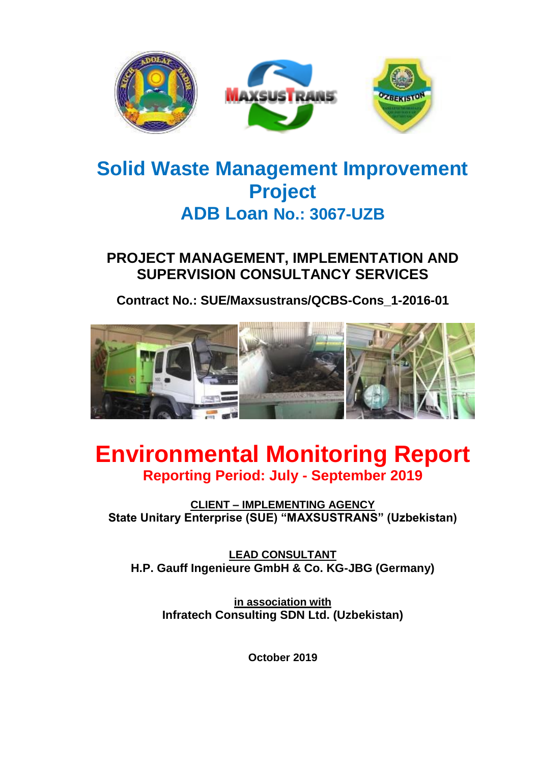

# **Solid Waste Management Improvement Project ADB Loan No.: 3067-UZB**

# **PROJECT MANAGEMENT, IMPLEMENTATION AND SUPERVISION CONSULTANCY SERVICES**

**Contract No.: SUE/Maxsustrans/QCBS-Cons\_1-2016-01**



# **Environmental Monitoring Report Reporting Period: July - September 2019**

**CLIENT – IMPLEMENTING AGENCY State Unitary Enterprise (SUE) "MAXSUSTRANS" (Uzbekistan)**

**LEAD CONSULTANT H.P. Gauff Ingenieure GmbH & Co. KG-JBG (Germany)**

**in association with Infratech Consulting SDN Ltd. (Uzbekistan)**

**October 2019**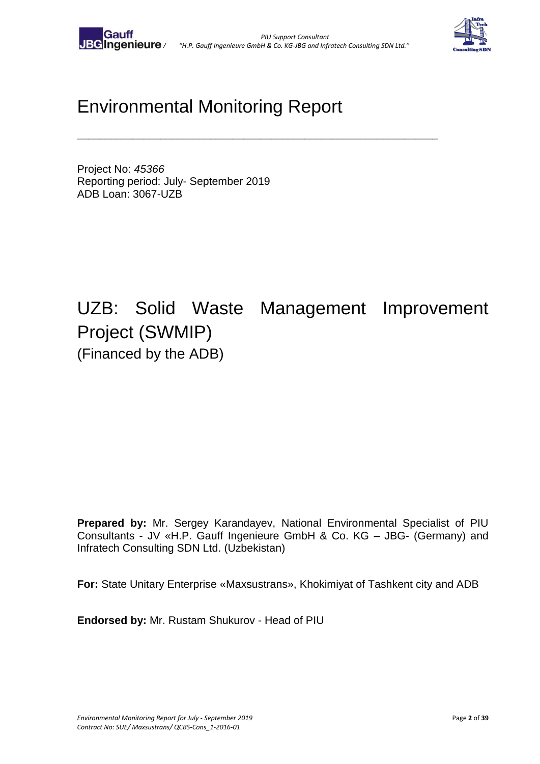

# Environmental Monitoring Report

**\_\_\_\_\_\_\_\_\_\_\_\_\_\_\_\_\_\_\_\_\_\_\_\_\_\_\_\_\_\_\_\_\_\_\_\_\_\_\_\_\_\_\_\_\_\_\_\_\_\_\_\_\_\_\_\_\_\_\_\_\_\_\_\_\_**

Project No: *45366* Reporting period: July- September 2019 ADB Loan: 3067-UZB

# UZB: Solid Waste Management Improvement Project (SWMIP) (Financed by the ADB)

**Prepared by:** Mr. Sergey Karandayev, National Environmental Specialist of PIU Consultants - JV «H.P. Gauff Ingenieure GmbH & Co. KG – JBG- (Germany) and Infratech Consulting SDN Ltd. (Uzbekistan)

**For:** State Unitary Enterprise «Maxsustrans», Khokimiyat of Tashkent city and ADB

**Endorsed by:** Mr. Rustam Shukurov - Head of PIU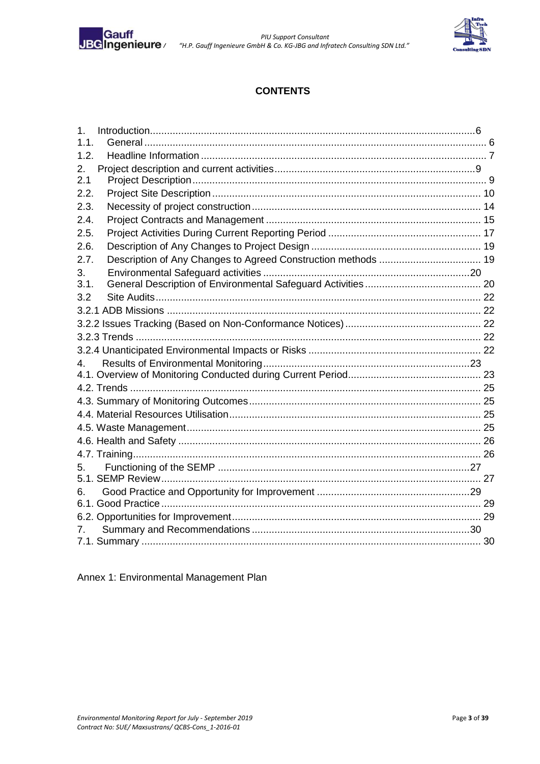

PIU Support Consultant<br>IBGIngenieure Consultant Terming SDN Ltd."<br>Co. KG-JBG and Infratech Consulting SDN Ltd."



## **CONTENTS**

| 1 <sub>1</sub> |  |
|----------------|--|
| 1.1.           |  |
| 1.2.           |  |
| $2_{-}$        |  |
| 2.1            |  |
| 2.2.           |  |
| 2.3.           |  |
| 2.4.           |  |
| 2.5.           |  |
| 2.6.           |  |
| 2.7.           |  |
| 3.             |  |
| 3.1.           |  |
| 3.2            |  |
|                |  |
|                |  |
|                |  |
|                |  |
| 4.             |  |
|                |  |
|                |  |
|                |  |
|                |  |
|                |  |
|                |  |
|                |  |
| 5.             |  |
|                |  |
| 6.             |  |
|                |  |
|                |  |
|                |  |
|                |  |

#### Annex 1: Environmental Management Plan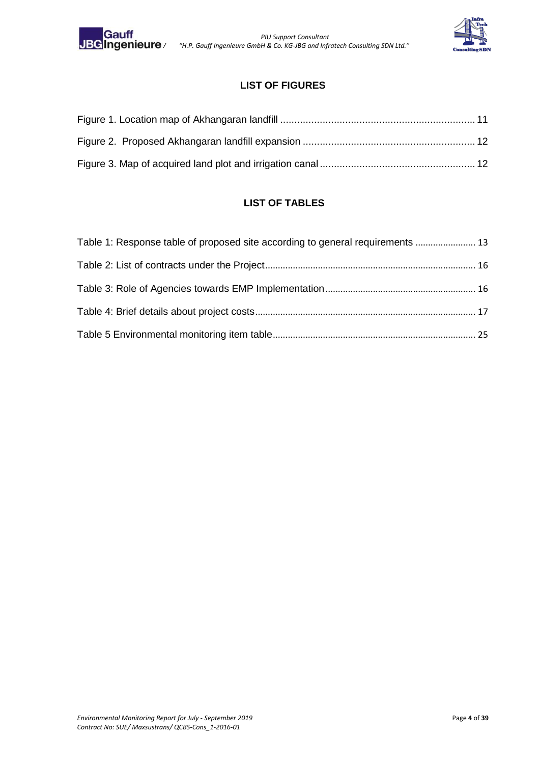

 *PIU Support Consultant JV "H.P. Gauff Ingenieure GmbH & Co. KG-JBG and Infratech Consulting SDN Ltd."*



# **LIST OF FIGURES**

#### **LIST OF TABLES**

| Table 1: Response table of proposed site according to general requirements  13 |  |
|--------------------------------------------------------------------------------|--|
|                                                                                |  |
|                                                                                |  |
|                                                                                |  |
|                                                                                |  |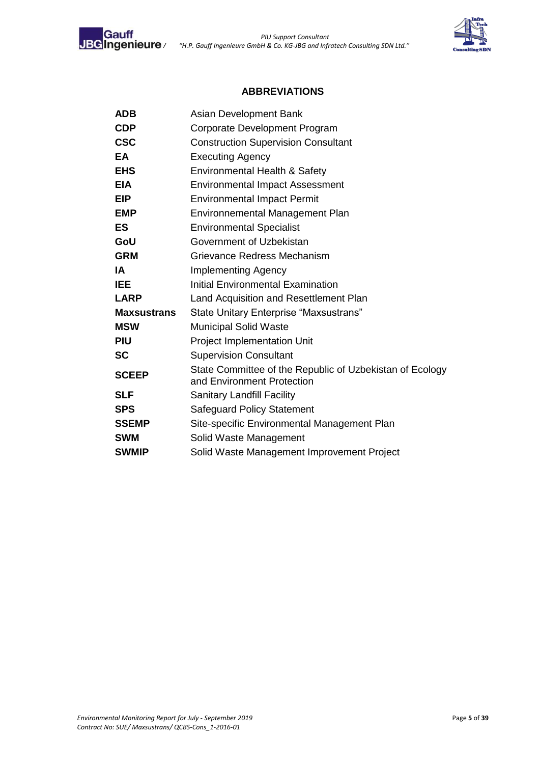



#### **ABBREVIATIONS**

| <b>ADB</b>         | Asian Development Bank                                                                 |
|--------------------|----------------------------------------------------------------------------------------|
| <b>CDP</b>         | Corporate Development Program                                                          |
| <b>CSC</b>         | <b>Construction Supervision Consultant</b>                                             |
| EA                 | <b>Executing Agency</b>                                                                |
| <b>EHS</b>         | Environmental Health & Safety                                                          |
| <b>EIA</b>         | <b>Environmental Impact Assessment</b>                                                 |
| <b>EIP</b>         | <b>Environmental Impact Permit</b>                                                     |
| <b>EMP</b>         | Environnemental Management Plan                                                        |
| <b>ES</b>          | <b>Environmental Specialist</b>                                                        |
| GoU                | Government of Uzbekistan                                                               |
| <b>GRM</b>         | Grievance Redress Mechanism                                                            |
| ΙA                 | <b>Implementing Agency</b>                                                             |
| <b>IEE</b>         | <b>Initial Environmental Examination</b>                                               |
| <b>LARP</b>        | Land Acquisition and Resettlement Plan                                                 |
| <b>Maxsustrans</b> | State Unitary Enterprise "Maxsustrans"                                                 |
| <b>MSW</b>         | <b>Municipal Solid Waste</b>                                                           |
| <b>PIU</b>         | <b>Project Implementation Unit</b>                                                     |
| <b>SC</b>          | <b>Supervision Consultant</b>                                                          |
| <b>SCEEP</b>       | State Committee of the Republic of Uzbekistan of Ecology<br>and Environment Protection |
| <b>SLF</b>         | <b>Sanitary Landfill Facility</b>                                                      |
| <b>SPS</b>         | <b>Safeguard Policy Statement</b>                                                      |
| <b>SSEMP</b>       | Site-specific Environmental Management Plan                                            |
| <b>SWM</b>         | Solid Waste Management                                                                 |
| <b>SWMIP</b>       | Solid Waste Management Improvement Project                                             |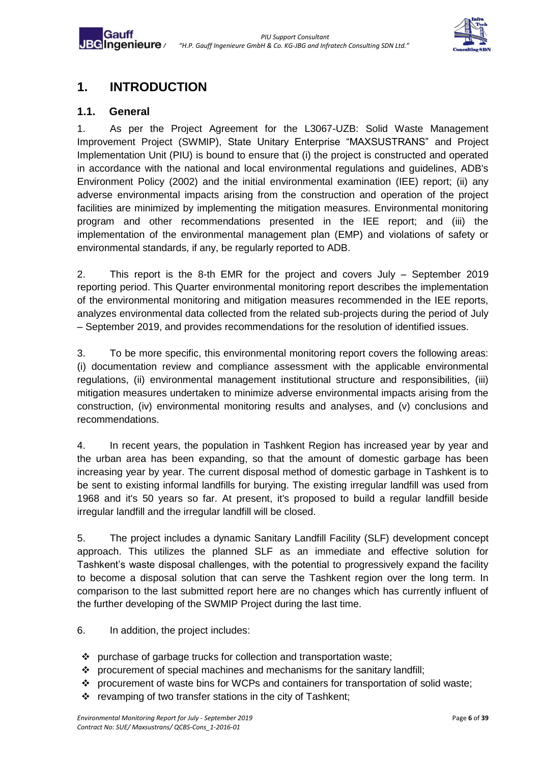

# <span id="page-5-0"></span>**1. INTRODUCTION**

#### <span id="page-5-1"></span>**1.1. General**

Gauff

1. As per the Project Agreement for the L3067-UZB: Solid Waste Management Improvement Project (SWMIP), State Unitary Enterprise "MAXSUSTRANS" and Project Implementation Unit (PIU) is bound to ensure that (i) the project is constructed and operated in accordance with the national and local environmental regulations and guidelines, ADB's Environment Policy (2002) and the initial environmental examination (IEE) report; (ii) any adverse environmental impacts arising from the construction and operation of the project facilities are minimized by implementing the mitigation measures. Environmental monitoring program and other recommendations presented in the IEE report; and (iii) the implementation of the environmental management plan (EMP) and violations of safety or environmental standards, if any, be regularly reported to ADB.

2. This report is the 8-th EMR for the project and covers July – September 2019 reporting period. This Quarter environmental monitoring report describes the implementation of the environmental monitoring and mitigation measures recommended in the IEE reports, analyzes environmental data collected from the related sub-projects during the period of July – September 2019, and provides recommendations for the resolution of identified issues.

3. To be more specific, this environmental monitoring report covers the following areas: (i) documentation review and compliance assessment with the applicable environmental regulations, (ii) environmental management institutional structure and responsibilities, (iii) mitigation measures undertaken to minimize adverse environmental impacts arising from the construction, (iv) environmental monitoring results and analyses, and (v) conclusions and recommendations.

4. In recent years, the population in Tashkent Region has increased year by year and the urban area has been expanding, so that the amount of domestic garbage has been increasing year by year. The current disposal method of domestic garbage in Tashkent is to be sent to existing informal landfills for burying. The existing irregular landfill was used from 1968 and it's 50 years so far. At present, it's proposed to build a regular landfill beside irregular landfill and the irregular landfill will be closed.

5. The project includes a dynamic Sanitary Landfill Facility (SLF) development concept approach. This utilizes the planned SLF as an immediate and effective solution for Tashkent's waste disposal challenges, with the potential to progressively expand the facility to become a disposal solution that can serve the Tashkent region over the long term. In comparison to the last submitted report here are no changes which has currently influent of the further developing of the SWMIP Project during the last time.

6. In addition, the project includes:

- ❖ purchase of garbage trucks for collection and transportation waste;
- ❖ procurement of special machines and mechanisms for the sanitary landfill;
- ❖ procurement of waste bins for WCPs and containers for transportation of solid waste;
- ❖ revamping of two transfer stations in the city of Tashkent;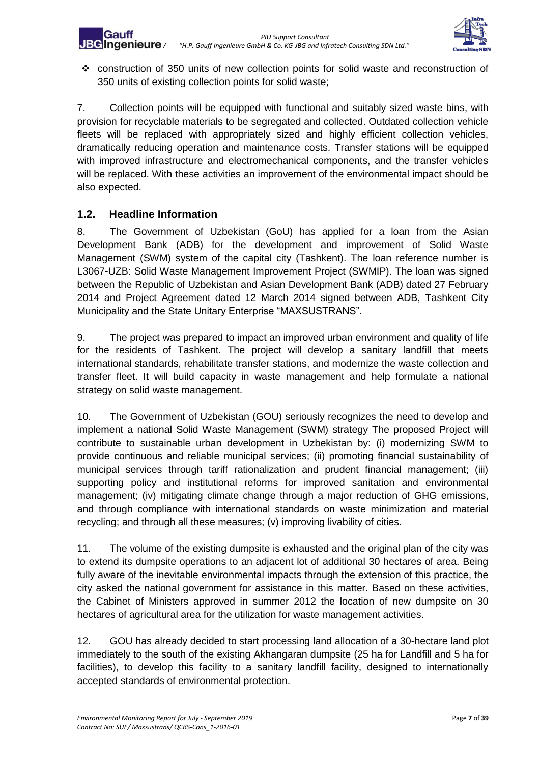

❖ construction of 350 units of new collection points for solid waste and reconstruction of 350 units of existing collection points for solid waste;

7. Collection points will be equipped with functional and suitably sized waste bins, with provision for recyclable materials to be segregated and collected. Outdated collection vehicle fleets will be replaced with appropriately sized and highly efficient collection vehicles, dramatically reducing operation and maintenance costs. Transfer stations will be equipped with improved infrastructure and electromechanical components, and the transfer vehicles will be replaced. With these activities an improvement of the environmental impact should be also expected.

# <span id="page-6-0"></span>**1.2. Headline Information**

8. The Government of Uzbekistan (GoU) has applied for a loan from the Asian Development Bank (ADB) for the development and improvement of Solid Waste Management (SWM) system of the capital city (Tashkent). The loan reference number is L3067-UZB: Solid Waste Management Improvement Project (SWMIP). The loan was signed between the Republic of Uzbekistan and Asian Development Bank (ADB) dated 27 February 2014 and Project Agreement dated 12 March 2014 signed between ADB, Tashkent City Municipality and the State Unitary Enterprise "MAXSUSTRANS".

9. The project was prepared to impact an improved urban environment and quality of life for the residents of Tashkent. The project will develop a sanitary landfill that meets international standards, rehabilitate transfer stations, and modernize the waste collection and transfer fleet. It will build capacity in waste management and help formulate a national strategy on solid waste management.

10. The Government of Uzbekistan (GOU) seriously recognizes the need to develop and implement a national Solid Waste Management (SWM) strategy The proposed Project will contribute to sustainable urban development in Uzbekistan by: (i) modernizing SWM to provide continuous and reliable municipal services; (ii) promoting financial sustainability of municipal services through tariff rationalization and prudent financial management; (iii) supporting policy and institutional reforms for improved sanitation and environmental management; (iv) mitigating climate change through a major reduction of GHG emissions, and through compliance with international standards on waste minimization and material recycling; and through all these measures; (v) improving livability of cities.

11. The volume of the existing dumpsite is exhausted and the original plan of the city was to extend its dumpsite operations to an adjacent lot of additional 30 hectares of area. Being fully aware of the inevitable environmental impacts through the extension of this practice, the city asked the national government for assistance in this matter. Based on these activities, the Cabinet of Ministers approved in summer 2012 the location of new dumpsite on 30 hectares of agricultural area for the utilization for waste management activities.

12. GOU has already decided to start processing land allocation of a 30-hectare land plot immediately to the south of the existing Akhangaran dumpsite (25 ha for Landfill and 5 ha for facilities), to develop this facility to a sanitary landfill facility, designed to internationally accepted standards of environmental protection.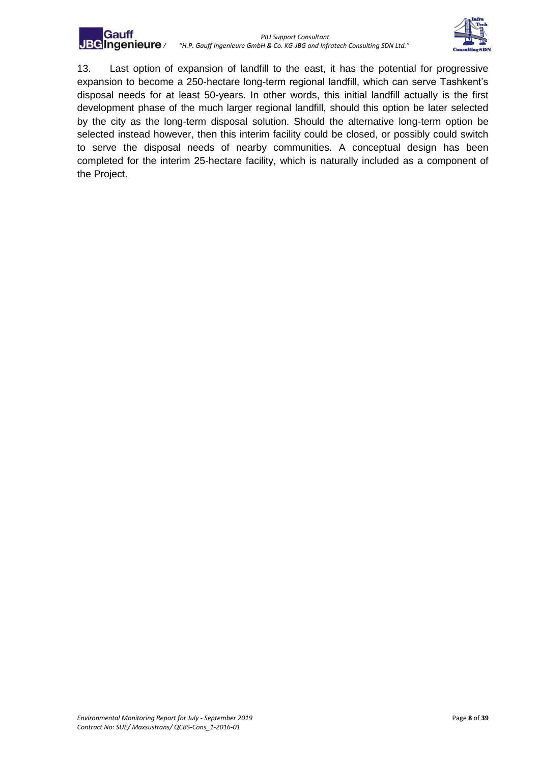



13. Last option of expansion of landfill to the east, it has the potential for progressive expansion to become a 250-hectare long-term regional landfill, which can serve Tashkent's disposal needs for at least 50-years. In other words, this initial landfill actually is the first development phase of the much larger regional landfill, should this option be later selected by the city as the long-term disposal solution. Should the alternative long-term option be selected instead however, then this interim facility could be closed, or possibly could switch to serve the disposal needs of nearby communities. A conceptual design has been completed for the interim 25-hectare facility, which is naturally included as a component of the Project.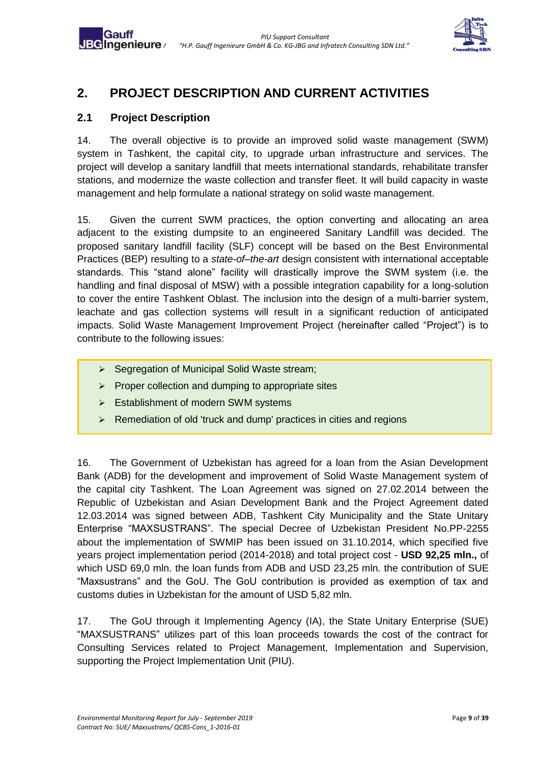

# <span id="page-8-0"></span>**2. PROJECT DESCRIPTION AND CURRENT ACTIVITIES**

# <span id="page-8-1"></span>**2.1 Project Description**

Gauff

14. The overall objective is to provide an improved solid waste management (SWM) system in Tashkent, the capital city, to upgrade urban infrastructure and services. The project will develop a sanitary landfill that meets international standards, rehabilitate transfer stations, and modernize the waste collection and transfer fleet. It will build capacity in waste management and help formulate a national strategy on solid waste management.

15. Given the current SWM practices, the option converting and allocating an area adjacent to the existing dumpsite to an engineered Sanitary Landfill was decided. The proposed sanitary landfill facility (SLF) concept will be based on the Best Environmental Practices (BEP) resulting to a *state-of–the-art* design consistent with international acceptable standards. This "stand alone" facility will drastically improve the SWM system (i.e. the handling and final disposal of MSW) with a possible integration capability for a long-solution to cover the entire Tashkent Oblast. The inclusion into the design of a multi-barrier system, leachate and gas collection systems will result in a significant reduction of anticipated impacts. Solid Waste Management Improvement Project (hereinafter called "Project") is to contribute to the following issues:

- ➢ Segregation of Municipal Solid Waste stream;
- ➢ Proper collection and dumping to appropriate sites
- ➢ Establishment of modern SWM systems
- ➢ Remediation of old 'truck and dump' practices in cities and regions

16. The Government of Uzbekistan has agreed for a loan from the Asian Development Bank (ADB) for the development and improvement of Solid Waste Management system of the capital city Tashkent. The Loan Agreement was signed on 27.02.2014 between the Republic of Uzbekistan and Asian Development Bank and the Project Agreement dated 12.03.2014 was signed between ADB, Tashkent City Municipality and the State Unitary Enterprise "MAXSUSTRANS". The special Decree of Uzbekistan President No.PP-2255 about the implementation of SWMIP has been issued on 31.10.2014, which specified five years project implementation period (2014-2018) and total project cost - **USD 92,25 mln.,** of which USD 69,0 mln. the loan funds from ADB and USD 23,25 mln. the contribution of SUE "Maxsustrans" and the GoU. The GoU contribution is provided as exemption of tax and customs duties in Uzbekistan for the amount of USD 5,82 mln.

17. The GoU through it Implementing Agency (IA), the State Unitary Enterprise (SUE) "MAXSUSTRANS" utilizes part of this loan proceeds towards the cost of the contract for Consulting Services related to Project Management, Implementation and Supervision, supporting the Project Implementation Unit (PIU).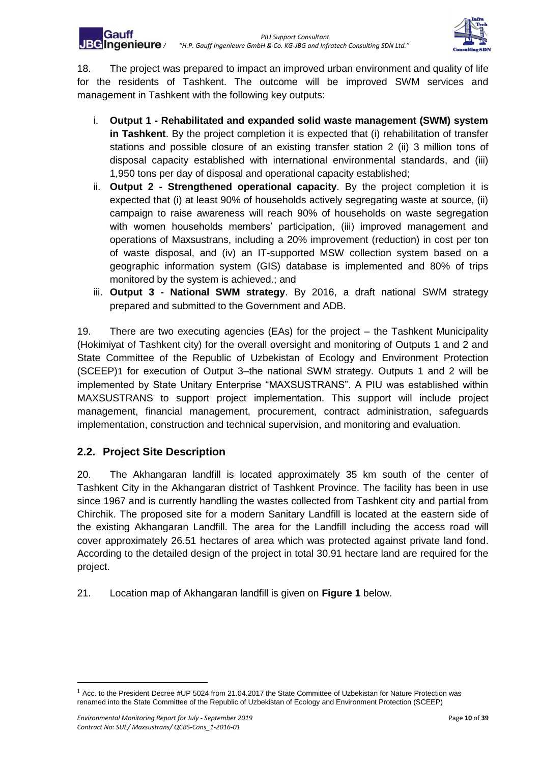

18. The project was prepared to impact an improved urban environment and quality of life for the residents of Tashkent. The outcome will be improved SWM services and management in Tashkent with the following key outputs:

- i. **Output 1 - Rehabilitated and expanded solid waste management (SWM) system in Tashkent**. By the project completion it is expected that (i) rehabilitation of transfer stations and possible closure of an existing transfer station 2 (ii) 3 million tons of disposal capacity established with international environmental standards, and (iii) 1,950 tons per day of disposal and operational capacity established;
- ii. **Output 2 - Strengthened operational capacity**. By the project completion it is expected that (i) at least 90% of households actively segregating waste at source, (ii) campaign to raise awareness will reach 90% of households on waste segregation with women households members' participation, (iii) improved management and operations of Maxsustrans, including a 20% improvement (reduction) in cost per ton of waste disposal, and (iv) an IT-supported MSW collection system based on a geographic information system (GIS) database is implemented and 80% of trips monitored by the system is achieved.; and
- iii. **Output 3 - National SWM strategy**. By 2016, a draft national SWM strategy prepared and submitted to the Government and ADB.

19. There are two executing agencies (EAs) for the project – the Tashkent Municipality (Hokimiyat of Tashkent city) for the overall oversight and monitoring of Outputs 1 and 2 and State Committee of the Republic of Uzbekistan of Ecology and Environment Protection (SCEEP)1 for execution of Output 3–the national SWM strategy. Outputs 1 and 2 will be implemented by State Unitary Enterprise "MAXSUSTRANS". A PIU was established within MAXSUSTRANS to support project implementation. This support will include project management, financial management, procurement, contract administration, safeguards implementation, construction and technical supervision, and monitoring and evaluation.

# <span id="page-9-0"></span>**2.2. Project Site Description**

20. The Akhangaran landfill is located approximately 35 km south of the center of Tashkent City in the Akhangaran district of Tashkent Province. The facility has been in use since 1967 and is currently handling the wastes collected from Tashkent city and partial from Chirchik. The proposed site for a modern Sanitary Landfill is located at the eastern side of the existing Akhangaran Landfill. The area for the Landfill including the access road will cover approximately 26.51 hectares of area which was protected against private land fond. According to the detailed design of the project in total 30.91 hectare land are required for the project.

21. Location map of Akhangaran landfill is given on **Figure 1** below.

1

 $<sup>1</sup>$  Acc. to the President Decree #UP 5024 from 21.04.2017 the State Committee of Uzbekistan for Nature Protection was</sup> renamed into the State Committee of the Republic of Uzbekistan of Ecology and Environment Protection (SCEEP)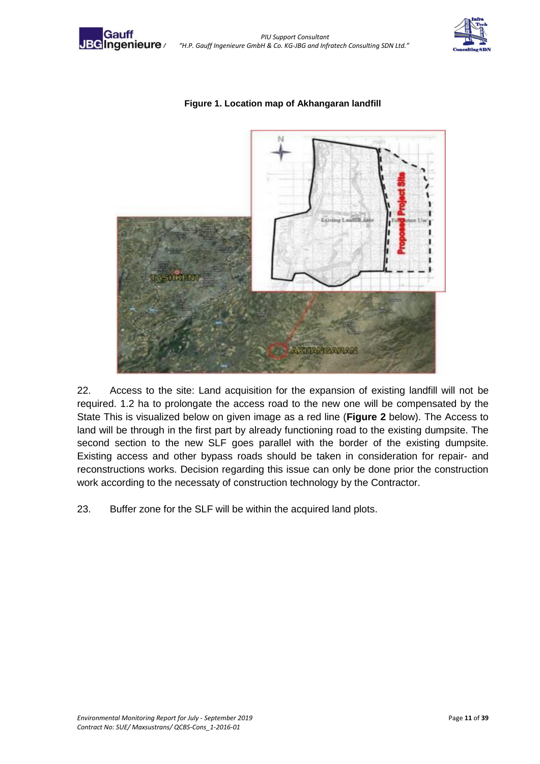

Gauff



<span id="page-10-0"></span>

#### **Figure 1. Location map of Akhangaran landfill**

22. Access to the site: Land acquisition for the expansion of existing landfill will not be required. 1.2 ha to prolongate the access road to the new one will be compensated by the State This is visualized below on given image as a red line (**Figure 2** below). The Access to land will be through in the first part by already functioning road to the existing dumpsite. The second section to the new SLF goes parallel with the border of the existing dumpsite. Existing access and other bypass roads should be taken in consideration for repair- and reconstructions works. Decision regarding this issue can only be done prior the construction work according to the necessaty of construction technology by the Contractor.

<span id="page-10-1"></span>23. Buffer zone for the SLF will be within the acquired land plots.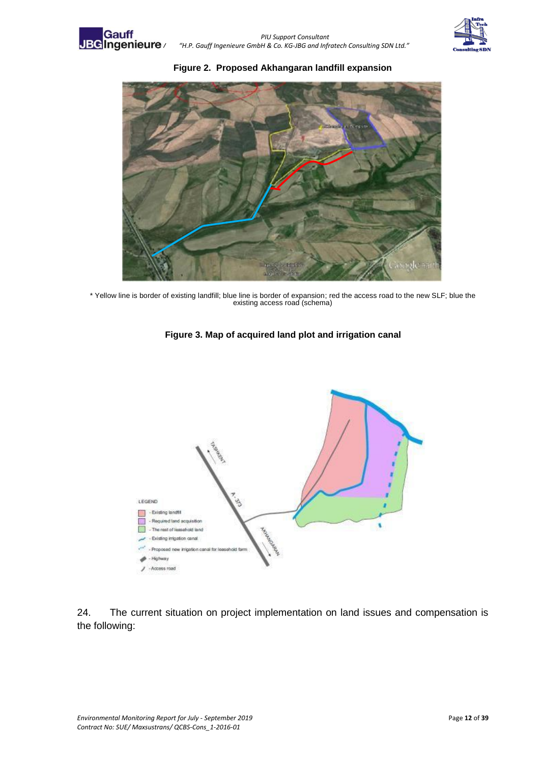





\* Yellow line is border of existing landfill; blue line is border of expansion; red the access road to the new SLF; blue the existing access road (schema)



<span id="page-11-0"></span>

24. The current situation on project implementation on land issues and compensation is the following: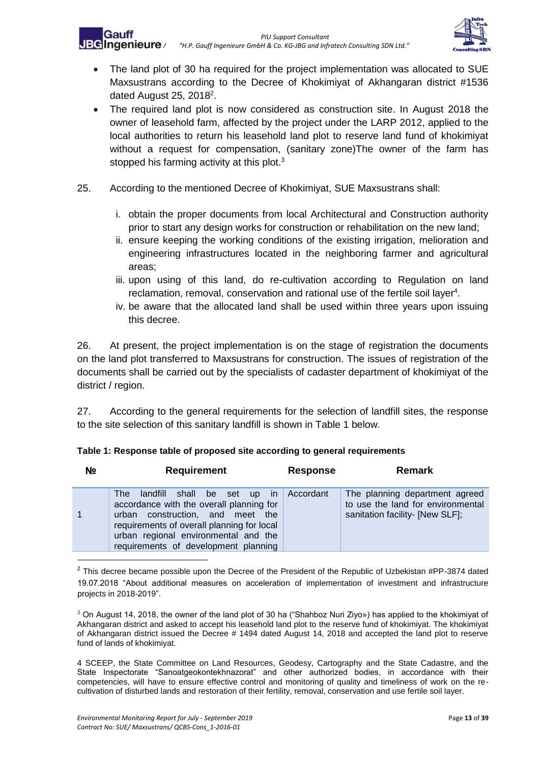

- The land plot of 30 ha required for the project implementation was allocated to SUE Maxsustrans according to the Decree of Khokimiyat of Akhangaran district #1536 dated August 25, 2018 $^2$ .
- The required land plot is now considered as construction site. In August 2018 the owner of leasehold farm, affected by the project under the LARP 2012, applied to the local authorities to return his leasehold land plot to reserve land fund of khokimiyat without a request for compensation, (sanitary zone)The owner of the farm has stopped his farming activity at this plot.<sup>3</sup>
- 25. According to the mentioned Decree of Khokimiyat, SUE Maxsustrans shall:
	- i. obtain the proper documents from local Architectural and Construction authority prior to start any design works for construction or rehabilitation on the new land;
	- ii. ensure keeping the working conditions of the existing irrigation, melioration and engineering infrastructures located in the neighboring farmer and agricultural areas;
	- iii. upon using of this land, do re-cultivation according to Regulation on land reclamation, removal, conservation and rational use of the fertile soil layer<sup>4</sup>.
	- iv. be aware that the allocated land shall be used within three years upon issuing this decree.

26. At present, the project implementation is on the stage of registration the documents on the land plot transferred to Maxsustrans for construction. The issues of registration of the documents shall be carried out by the specialists of cadaster department of khokimiyat of the district / region.

27. According to the general requirements for the selection of landfill sites, the response to the site selection of this sanitary landfill is shown in Table 1 below.

| N <sub>2</sub> | <b>Requirement</b>                                                                                                                                                                                                                                  | <b>Response</b> | <b>Remark</b>                                                                                          |
|----------------|-----------------------------------------------------------------------------------------------------------------------------------------------------------------------------------------------------------------------------------------------------|-----------------|--------------------------------------------------------------------------------------------------------|
| 1              | shall be set up in<br>landfill<br>The<br>accordance with the overall planning for<br>urban construction, and meet the<br>requirements of overall planning for local<br>urban regional environmental and the<br>requirements of development planning | Accordant       | The planning department agreed<br>to use the land for environmental<br>sanitation facility- [New SLF]; |

#### <span id="page-12-0"></span>**Table 1: Response table of proposed site according to general requirements**

<sup>2</sup> This decree became possible upon the Decree of the President of the Republic of Uzbekistan #PP-3874 dated 19.07.2018 "About additional measures on acceleration of implementation of investment and infrastructure projects in 2018-2019".

 $3$  On August 14, 2018, the owner of the land plot of 30 ha ("Shahboz Nuri Ziyo») has applied to the khokimiyat of Akhangaran district and asked to accept his leasehold land plot to the reserve fund of khokimiyat. The khokimiyat of Akhangaran district issued the Decree # 1494 dated August 14, 2018 and accepted the land plot to reserve fund of lands of khokimiyat.

4 SCEEP, the State Committee on Land Resources, Geodesy, Cartography and the State Cadastre, and the State Inspectorate "Sanoatgeokontekhnazorat" and other authorized bodies, in accordance with their competencies, will have to ensure effective control and monitoring of quality and timeliness of work on the recultivation of disturbed lands and restoration of their fertility, removal, conservation and use fertile soil layer.

**.**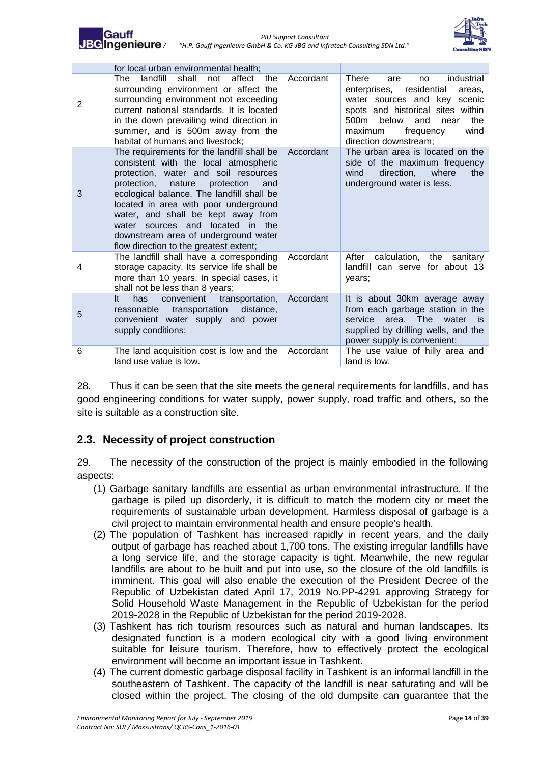



|   | for local urban environmental health;                                                                                                                                                                                                                                                                                                                                                                                    |           |                                                                                                                                                                                                                                                                   |
|---|--------------------------------------------------------------------------------------------------------------------------------------------------------------------------------------------------------------------------------------------------------------------------------------------------------------------------------------------------------------------------------------------------------------------------|-----------|-------------------------------------------------------------------------------------------------------------------------------------------------------------------------------------------------------------------------------------------------------------------|
| 2 | shall<br>landfill<br>affect<br>the<br>The .<br>not<br>surrounding environment or affect the<br>surrounding environment not exceeding<br>current national standards. It is located<br>in the down prevailing wind direction in<br>summer, and is 500m away from the<br>habitat of humans and livestock;                                                                                                                   | Accordant | <b>There</b><br>industrial<br>are<br>no<br>residential<br>enterprises,<br>areas.<br>water sources and key scenic<br>spots and historical sites within<br>500 <sub>m</sub><br>below<br>the<br>and<br>near<br>wind<br>maximum<br>frequency<br>direction downstream; |
| 3 | The requirements for the landfill shall be<br>consistent with the local atmospheric<br>protection, water and soil resources<br>protection, nature protection<br>and<br>ecological balance. The landfill shall be<br>located in area with poor underground<br>water, and shall be kept away from<br>water sources and<br>located in the<br>downstream area of underground water<br>flow direction to the greatest extent; | Accordant | The urban area is located on the<br>side of the maximum frequency<br>where<br>direction,<br>the<br>wind<br>underground water is less.                                                                                                                             |
| 4 | The landfill shall have a corresponding<br>storage capacity. Its service life shall be<br>more than 10 years. In special cases, it<br>shall not be less than 8 years;                                                                                                                                                                                                                                                    | Accordant | After<br>calculation, the sanitary<br>landfill can serve for about 13<br>years:                                                                                                                                                                                   |
| 5 | convenient<br>transportation,<br>It.<br>has<br>reasonable<br>transportation<br>distance,<br>convenient water supply and power<br>supply conditions;                                                                                                                                                                                                                                                                      | Accordant | It is about 30km average away<br>from each garbage station in the<br>area. The water<br>service<br>⊟ is<br>supplied by drilling wells, and the<br>power supply is convenient;                                                                                     |
| 6 | The land acquisition cost is low and the<br>land use value is low.                                                                                                                                                                                                                                                                                                                                                       | Accordant | The use value of hilly area and<br>land is low.                                                                                                                                                                                                                   |

28. Thus it can be seen that the site meets the general requirements for landfills, and has good engineering conditions for water supply, power supply, road traffic and others, so the site is suitable as a construction site.

## <span id="page-13-0"></span>**2.3. Necessity of project construction**

29. The necessity of the construction of the project is mainly embodied in the following aspects:

- (1) Garbage sanitary landfills are essential as urban environmental infrastructure. If the garbage is piled up disorderly, it is difficult to match the modern city or meet the requirements of sustainable urban development. Harmless disposal of garbage is a civil project to maintain environmental health and ensure people's health.
- (2) The population of Tashkent has increased rapidly in recent years, and the daily output of garbage has reached about 1,700 tons. The existing irregular landfills have a long service life, and the storage capacity is tight. Meanwhile, the new regular landfills are about to be built and put into use, so the closure of the old landfills is imminent. This goal will also enable the execution of the President Decree of the Republic of Uzbekistan dated April 17, 2019 No.PP-4291 approving Strategy for Solid Household Waste Management in the Republic of Uzbekistan for the period 2019-2028 in the Republic of Uzbekistan for the period 2019-2028.
- (3) Tashkent has rich tourism resources such as natural and human landscapes. Its designated function is a modern ecological city with a good living environment suitable for leisure tourism. Therefore, how to effectively protect the ecological environment will become an important issue in Tashkent.
- (4) The current domestic garbage disposal facility in Tashkent is an informal landfill in the southeastern of Tashkent. The capacity of the landfill is near saturating and will be closed within the project. The closing of the old dumpsite can guarantee that the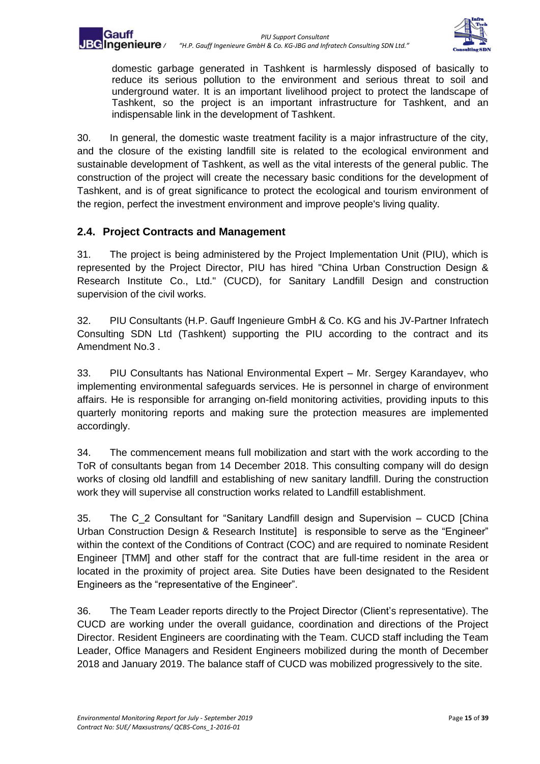

domestic garbage generated in Tashkent is harmlessly disposed of basically to reduce its serious pollution to the environment and serious threat to soil and underground water. It is an important livelihood project to protect the landscape of Tashkent, so the project is an important infrastructure for Tashkent, and an indispensable link in the development of Tashkent.

30. In general, the domestic waste treatment facility is a major infrastructure of the city, and the closure of the existing landfill site is related to the ecological environment and sustainable development of Tashkent, as well as the vital interests of the general public. The construction of the project will create the necessary basic conditions for the development of Tashkent, and is of great significance to protect the ecological and tourism environment of the region, perfect the investment environment and improve people's living quality.

## <span id="page-14-0"></span>**2.4. Project Contracts and Management**

31. The project is being administered by the Project Implementation Unit (PIU), which is represented by the Project Director, PIU has hired "China Urban Construction Design & Research Institute Co., Ltd." (CUCD), for Sanitary Landfill Design and construction supervision of the civil works.

32. PIU Consultants (H.P. Gauff Ingenieure GmbH & Co. KG and his JV-Partner Infratech Consulting SDN Ltd (Tashkent) supporting the PIU according to the contract and its Amendment No.3 .

33. PIU Consultants has National Environmental Expert – Mr. Sergey Karandayev, who implementing environmental safeguards services. He is personnel in charge of environment affairs. He is responsible for arranging on-field monitoring activities, providing inputs to this quarterly monitoring reports and making sure the protection measures are implemented accordingly.

34. The commencement means full mobilization and start with the work according to the ToR of consultants began from 14 December 2018. This consulting company will do design works of closing old landfill and establishing of new sanitary landfill. During the construction work they will supervise all construction works related to Landfill establishment.

35. The C\_2 Consultant for "Sanitary Landfill design and Supervision – CUCD [China Urban Construction Design & Research Institute] is responsible to serve as the "Engineer" within the context of the Conditions of Contract (COC) and are required to nominate Resident Engineer [TMM] and other staff for the contract that are full-time resident in the area or located in the proximity of project area. Site Duties have been designated to the Resident Engineers as the "representative of the Engineer".

36. The Team Leader reports directly to the Project Director (Client's representative). The CUCD are working under the overall guidance, coordination and directions of the Project Director. Resident Engineers are coordinating with the Team. CUCD staff including the Team Leader, Office Managers and Resident Engineers mobilized during the month of December 2018 and January 2019. The balance staff of CUCD was mobilized progressively to the site.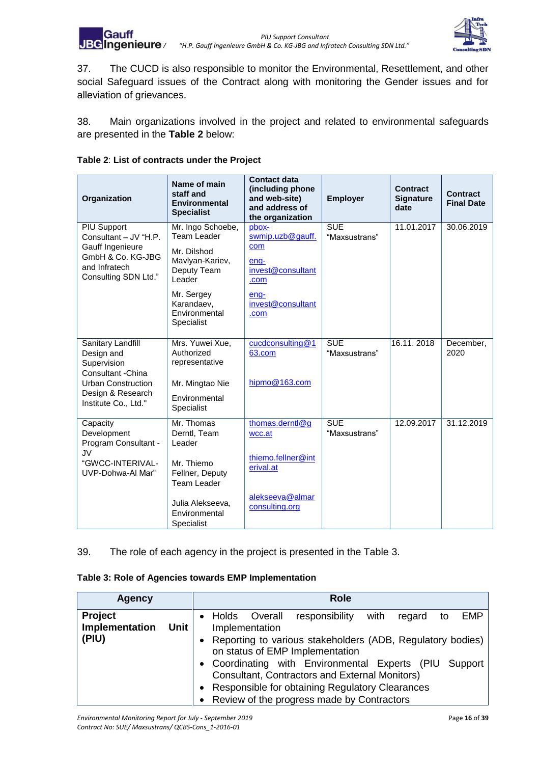

37. The CUCD is also responsible to monitor the Environmental, Resettlement, and other social Safeguard issues of the Contract along with monitoring the Gender issues and for alleviation of grievances.

38. Main organizations involved in the project and related to environmental safeguards are presented in the **Table 2** below:

<span id="page-15-0"></span>

| Organization                                                                   | Name of main<br>staff and<br><b>Environmental</b><br><b>Specialist</b> | <b>Contact data</b><br>(including phone<br>and web-site)<br>and address of<br>the organization | <b>Employer</b>             | <b>Contract</b><br><b>Signature</b><br>date | Contract<br><b>Final Date</b> |
|--------------------------------------------------------------------------------|------------------------------------------------------------------------|------------------------------------------------------------------------------------------------|-----------------------------|---------------------------------------------|-------------------------------|
| <b>PIU Support</b><br>Consultant - JV "H.P.                                    | Mr. Ingo Schoebe,<br><b>Team Leader</b>                                | pbox-<br>swmip.uzb@gauff.                                                                      | <b>SUE</b><br>"Maxsustrans" | 11.01.2017                                  | 30.06.2019                    |
| Gauff Ingenieure<br>GmbH & Co. KG-JBG<br>and Infratech<br>Consulting SDN Ltd." | Mr. Dilshod<br>Mavlyan-Kariev,<br>Deputy Team<br>Leader                | com<br>eng-<br>invest@consultant<br>.com                                                       |                             |                                             |                               |
|                                                                                | Mr. Sergey<br>Karandaev,<br>Environmental<br>Specialist                | ena-<br>invest@consultant<br>.com                                                              |                             |                                             |                               |
| Sanitary Landfill<br>Design and<br>Supervision<br>Consultant - China           | Mrs. Yuwei Xue,<br>Authorized<br>representative                        | cucdconsulting@1<br>63.com                                                                     | <b>SUE</b><br>"Maxsustrans" | 16.11.2018                                  | December,<br>2020             |
| <b>Urban Construction</b><br>Design & Research<br>Institute Co., Ltd."         | Mr. Mingtao Nie                                                        | hipmo@163.com                                                                                  |                             |                                             |                               |
|                                                                                | Environmental<br>Specialist                                            |                                                                                                |                             |                                             |                               |
| Capacity<br>Development<br>Program Consultant -<br><b>JV</b>                   | Mr. Thomas<br>Derntl, Team<br>Leader                                   | thomas.derntl@g<br>wcc.at                                                                      | <b>SUE</b><br>"Maxsustrans" | 12.09.2017                                  | 31.12.2019                    |
| "GWCC-INTERIVAL-<br>UVP-Dohwa-Al Mar"                                          | Mr. Thiemo<br>Fellner, Deputy<br><b>Team Leader</b>                    | thiemo.fellner@int<br>erival.at                                                                |                             |                                             |                               |
|                                                                                | Julia Alekseeva,<br>Environmental<br><b>Specialist</b>                 | alekseeva@almar<br>consulting.org                                                              |                             |                                             |                               |

39. The role of each agency in the project is presented in the Table 3.

<span id="page-15-1"></span>

| Agency                    |      |                                                                                                                    |              |                           | <b>Role</b>                                     |      |        |    |            |
|---------------------------|------|--------------------------------------------------------------------------------------------------------------------|--------------|---------------------------|-------------------------------------------------|------|--------|----|------------|
| Project<br>Implementation | Unit |                                                                                                                    | <b>Holds</b> | Overall<br>Implementation | responsibility                                  | with | regard | to | <b>EMP</b> |
| (PIU)                     |      | Reporting to various stakeholders (ADB, Regulatory bodies)<br>on status of EMP Implementation                      |              |                           |                                                 |      |        |    |            |
|                           |      | • Coordinating with Environmental Experts (PIU<br>Support<br><b>Consultant, Contractors and External Monitors)</b> |              |                           |                                                 |      |        |    |            |
|                           |      |                                                                                                                    |              |                           | Responsible for obtaining Regulatory Clearances |      |        |    |            |
|                           |      |                                                                                                                    |              |                           | Review of the progress made by Contractors      |      |        |    |            |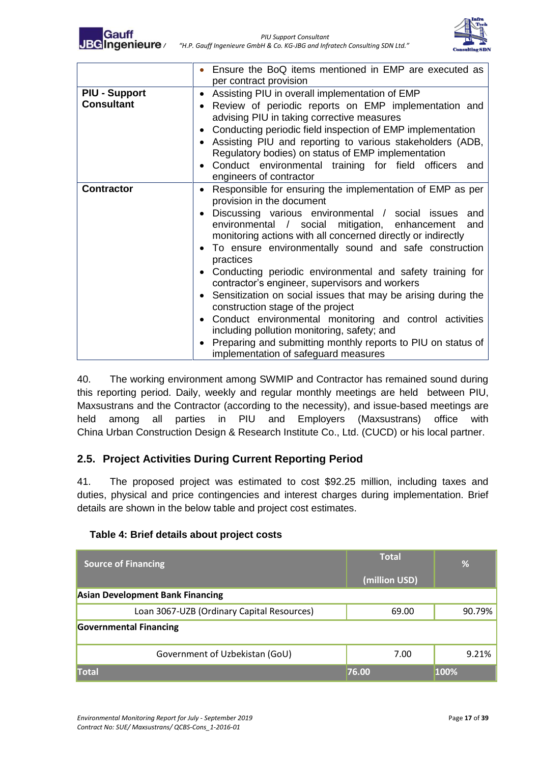

|                                           | Ensure the BoQ items mentioned in EMP are executed as<br>per contract provision                                                                                                                                                                                                                                                                                                                                                                                                                                                                                                                                                                                                                                                                                                                      |
|-------------------------------------------|------------------------------------------------------------------------------------------------------------------------------------------------------------------------------------------------------------------------------------------------------------------------------------------------------------------------------------------------------------------------------------------------------------------------------------------------------------------------------------------------------------------------------------------------------------------------------------------------------------------------------------------------------------------------------------------------------------------------------------------------------------------------------------------------------|
| <b>PIU - Support</b><br><b>Consultant</b> | Assisting PIU in overall implementation of EMP<br>Review of periodic reports on EMP implementation and<br>advising PIU in taking corrective measures<br>Conducting periodic field inspection of EMP implementation<br>Assisting PIU and reporting to various stakeholders (ADB,<br>Regulatory bodies) on status of EMP implementation<br>Conduct environmental training for field officers and<br>engineers of contractor                                                                                                                                                                                                                                                                                                                                                                            |
| <b>Contractor</b>                         | Responsible for ensuring the implementation of EMP as per<br>$\bullet$<br>provision in the document<br>Discussing various environmental / social issues<br>and<br>environmental / social mitigation, enhancement<br>and<br>monitoring actions with all concerned directly or indirectly<br>To ensure environmentally sound and safe construction<br>practices<br>Conducting periodic environmental and safety training for<br>contractor's engineer, supervisors and workers<br>Sensitization on social issues that may be arising during the<br>construction stage of the project<br>Conduct environmental monitoring and control activities<br>including pollution monitoring, safety; and<br>Preparing and submitting monthly reports to PIU on status of<br>implementation of safeguard measures |

40. The working environment among SWMIP and Contractor has remained sound during this reporting period. Daily, weekly and regular monthly meetings are held between PIU, Maxsustrans and the Contractor (according to the necessity), and issue-based meetings are held among all parties in PIU and Employers (Maxsustrans) office with China Urban Construction Design & Research Institute Co., Ltd. (CUCD) or his local partner.

## <span id="page-16-0"></span>**2.5. Project Activities During Current Reporting Period**

41. The proposed project was estimated to cost \$92.25 million, including taxes and duties, physical and price contingencies and interest charges during implementation. Brief details are shown in the below table and project cost estimates.

| <b>Source of Financing</b>                 | <b>Total</b>  | %      |
|--------------------------------------------|---------------|--------|
|                                            | (million USD) |        |
| <b>Asian Development Bank Financing</b>    |               |        |
| Loan 3067-UZB (Ordinary Capital Resources) | 69.00         | 90.79% |
| <b>Governmental Financing</b>              |               |        |
| Government of Uzbekistan (GoU)             | 7.00          | 9.21%  |
| <b>Total</b>                               | 76.00         | 100%   |

#### <span id="page-16-1"></span> **Table 4: Brief details about project costs**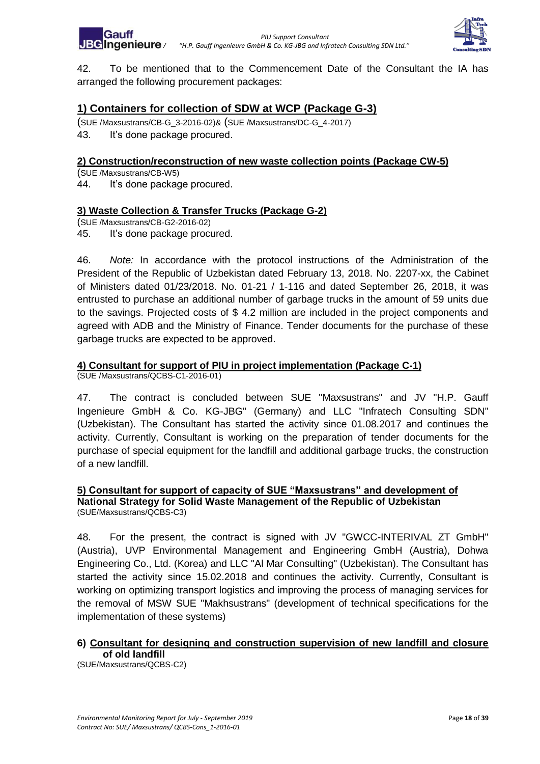

42. To be mentioned that to the Commencement Date of the Consultant the IA has arranged the following procurement packages:

# **1) Containers for collection of SDW at WCP (Package G-3)**

(SUE /Maxsustrans/CB-G\_3-2016-02)& (SUE /Maxsustrans/DC-G\_4-2017) 43. It's done package procured.

#### **2) Construction/reconstruction of new waste collection points (Package CW-5)**

(SUE /Maxsustrans/CB-W5)

44. It's done package procured.

#### **3) Waste Collection & Transfer Trucks (Package G-2)**

(SUE /Maxsustrans/CB-G2-2016-02)

45. It's done package procured.

46. *Note:* In accordance with the protocol instructions of the Administration of the President of the Republic of Uzbekistan dated February 13, 2018. No. 2207-xx, the Cabinet of Ministers dated 01/23/2018. No. 01-21 / 1-116 and dated September 26, 2018, it was entrusted to purchase an additional number of garbage trucks in the amount of 59 units due to the savings. Projected costs of \$ 4.2 million are included in the project components and agreed with ADB and the Ministry of Finance. Tender documents for the purchase of these garbage trucks are expected to be approved.

#### **4) Consultant for support of PIU in project implementation (Package C-1)**

(SUE /Maxsustrans/QCBS-C1-2016-01)

47. The contract is concluded between SUE "Maxsustrans" and JV "H.P. Gauff Ingenieure GmbH & Co. KG-JBG" (Germany) and LLC "Infratech Consulting SDN" (Uzbekistan). The Consultant has started the activity since 01.08.2017 and continues the activity. Currently, Consultant is working on the preparation of tender documents for the purchase of special equipment for the landfill and additional garbage trucks, the construction of a new landfill.

#### **5) Consultant for support of capacity of SUE "Maxsustrans" and development of National Strategy for Solid Waste Management of the Republic of Uzbekistan** (SUE/Maxsustrans/QCBS-C3)

48. For the present, the contract is signed with JV "GWCC-INTERIVAL ZT GmbH" (Austria), UVP Environmental Management and Engineering GmbH (Austria), Dohwa Engineering Co., Ltd. (Korea) and LLC "Al Mar Consulting" (Uzbekistan). The Consultant has started the activity since 15.02.2018 and continues the activity. Currently, Consultant is working on optimizing transport logistics and improving the process of managing services for the removal of MSW SUE "Makhsustrans" (development of technical specifications for the implementation of these systems)

#### **6) Consultant for designing and construction supervision of new landfill and closure of old landfill**

(SUE/Maxsustrans/QCBS-C2)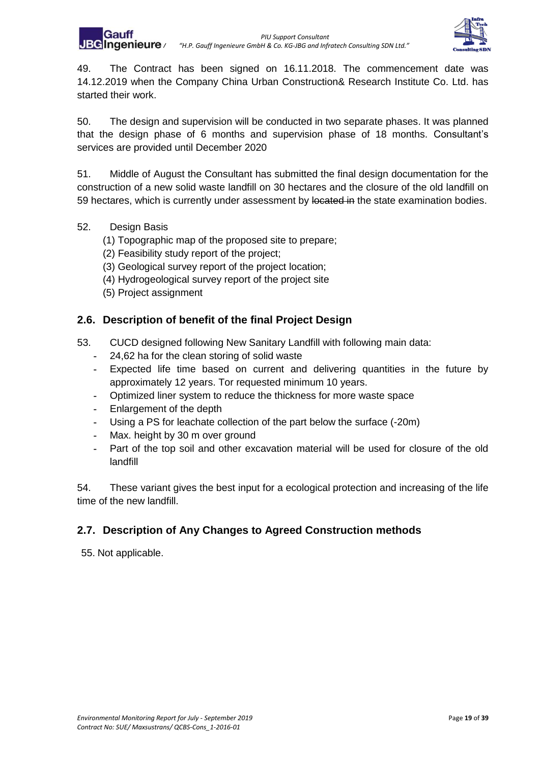

49. The Contract has been signed on 16.11.2018. The commencement date was 14.12.2019 when the Company China Urban Construction& Research Institute Co. Ltd. has started their work.

50. The design and supervision will be conducted in two separate phases. It was planned that the design phase of 6 months and supervision phase of 18 months. Consultant's services are provided until December 2020

51. Middle of August the Consultant has submitted the final design documentation for the construction of a new solid waste landfill on 30 hectares and the closure of the old landfill on 59 hectares, which is currently under assessment by located in the state examination bodies.

- 52. Design Basis
	- (1) Topographic map of the proposed site to prepare;
	- (2) Feasibility study report of the project;
	- (3) Geological survey report of the project location;
	- (4) Hydrogeological survey report of the project site
	- (5) Project assignment

## <span id="page-18-0"></span>**2.6. Description of benefit of the final Project Design**

- 53. CUCD designed following New Sanitary Landfill with following main data:
	- **-** 24,62 ha for the clean storing of solid waste
	- **-** Expected life time based on current and delivering quantities in the future by approximately 12 years. Tor requested minimum 10 years.
	- **-** Optimized liner system to reduce the thickness for more waste space
	- **-** Enlargement of the depth
	- **-** Using a PS for leachate collection of the part below the surface (-20m)
	- **-** Max. height by 30 m over ground
	- **-** Part of the top soil and other excavation material will be used for closure of the old landfill

54. These variant gives the best input for a ecological protection and increasing of the life time of the new landfill.

## <span id="page-18-1"></span>**2.7. Description of Any Changes to Agreed Construction methods**

55. Not applicable.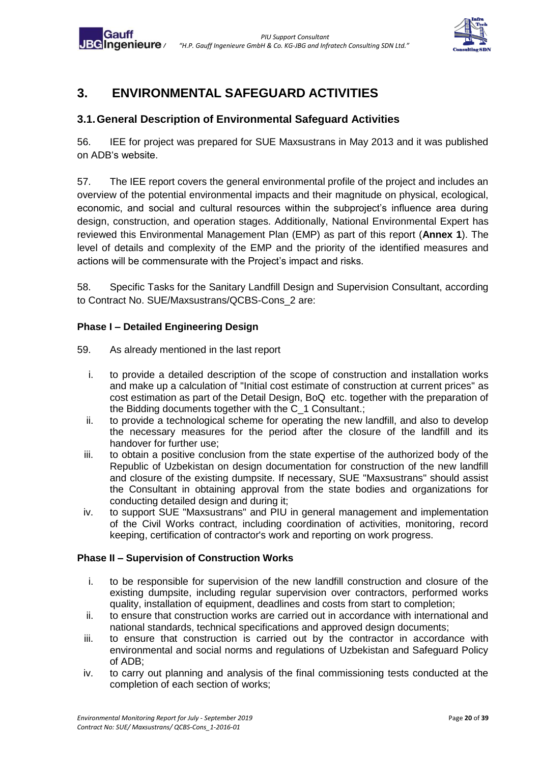

# <span id="page-19-0"></span>**3. ENVIRONMENTAL SAFEGUARD ACTIVITIES**

# <span id="page-19-1"></span>**3.1.General Description of Environmental Safeguard Activities**

56. IEE for project was prepared for SUE Maxsustrans in May 2013 and it was published on ADB's website.

57. The IEE report covers the general environmental profile of the project and includes an overview of the potential environmental impacts and their magnitude on physical, ecological, economic, and social and cultural resources within the subproject's influence area during design, construction, and operation stages. Additionally, National Environmental Expert has reviewed this Environmental Management Plan (EMP) as part of this report (**Annex 1**). The level of details and complexity of the EMP and the priority of the identified measures and actions will be commensurate with the Project's impact and risks.

58. Specific Tasks for the Sanitary Landfill Design and Supervision Consultant, according to Contract No. SUE/Maxsustrans/QCBS-Cons\_2 are:

#### **Phase I – Detailed Engineering Design**

Gair

- 59. As already mentioned in the last report
	- i. to provide a detailed description of the scope of construction and installation works and make up a calculation of "Initial cost estimate of construction at current prices" as cost estimation as part of the Detail Design, BoQ etc. together with the preparation of the Bidding documents together with the C\_1 Consultant.;
	- ii. to provide a technological scheme for operating the new landfill, and also to develop the necessary measures for the period after the closure of the landfill and its handover for further use;
	- iii. to obtain a positive conclusion from the state expertise of the authorized body of the Republic of Uzbekistan on design documentation for construction of the new landfill and closure of the existing dumpsite. If necessary, SUE "Maxsustrans" should assist the Consultant in obtaining approval from the state bodies and organizations for conducting detailed design and during it;
	- iv. to support SUE "Maxsustrans" and PIU in general management and implementation of the Civil Works contract, including coordination of activities, monitoring, record keeping, certification of contractor's work and reporting on work progress.

#### **Phase II – Supervision of Construction Works**

- i. to be responsible for supervision of the new landfill construction and closure of the existing dumpsite, including regular supervision over contractors, performed works quality, installation of equipment, deadlines and costs from start to completion;
- ii. to ensure that construction works are carried out in accordance with international and national standards, technical specifications and approved design documents;
- iii. to ensure that construction is carried out by the contractor in accordance with environmental and social norms and regulations of Uzbekistan and Safeguard Policy of ADB;
- iv. to carry out planning and analysis of the final commissioning tests conducted at the completion of each section of works;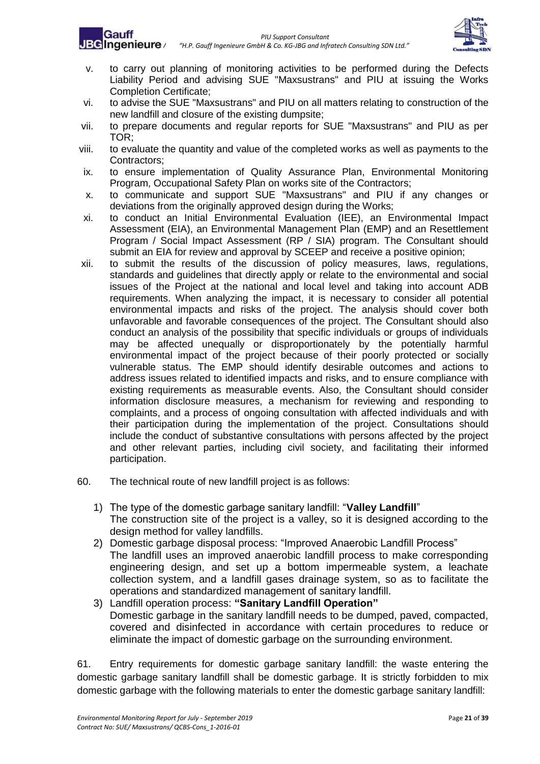



- v. to carry out planning of monitoring activities to be performed during the Defects Liability Period and advising SUE "Maxsustrans" and PIU at issuing the Works Completion Certificate;
- vi. to advise the SUE "Maxsustrans" and PIU on all matters relating to construction of the new landfill and closure of the existing dumpsite;
- vii. to prepare documents and regular reports for SUE "Maxsustrans" and PIU as per TOR;
- viii. to evaluate the quantity and value of the completed works as well as payments to the Contractors;
- ix. to ensure implementation of Quality Assurance Plan, Environmental Monitoring Program, Occupational Safety Plan on works site of the Contractors;
- x. to communicate and support SUE "Maxsustrans" and PIU if any changes or deviations from the originally approved design during the Works;
- xi. to conduct an Initial Environmental Evaluation (IEE), an Environmental Impact Assessment (EIA), an Environmental Management Plan (EMP) and an Resettlement Program / Social Impact Assessment (RP / SIA) program. The Consultant should submit an EIA for review and approval by SCEEP and receive a positive opinion;
- xii. to submit the results of the discussion of policy measures, laws, regulations, standards and guidelines that directly apply or relate to the environmental and social issues of the Project at the national and local level and taking into account ADB requirements. When analyzing the impact, it is necessary to consider all potential environmental impacts and risks of the project. The analysis should cover both unfavorable and favorable consequences of the project. The Consultant should also conduct an analysis of the possibility that specific individuals or groups of individuals may be affected unequally or disproportionately by the potentially harmful environmental impact of the project because of their poorly protected or socially vulnerable status. The EMP should identify desirable outcomes and actions to address issues related to identified impacts and risks, and to ensure compliance with existing requirements as measurable events. Also, the Consultant should consider information disclosure measures, a mechanism for reviewing and responding to complaints, and a process of ongoing consultation with affected individuals and with their participation during the implementation of the project. Consultations should include the conduct of substantive consultations with persons affected by the project and other relevant parties, including civil society, and facilitating their informed participation.
- 60. The technical route of new landfill project is as follows:
	- 1) The type of the domestic garbage sanitary landfill: "**Valley Landfill**" The construction site of the project is a valley, so it is designed according to the design method for valley landfills.
	- 2) Domestic garbage disposal process: "Improved Anaerobic Landfill Process" The landfill uses an improved anaerobic landfill process to make corresponding engineering design, and set up a bottom impermeable system, a leachate collection system, and a landfill gases drainage system, so as to facilitate the operations and standardized management of sanitary landfill.
	- 3) Landfill operation process: **"Sanitary Landfill Operation"**  Domestic garbage in the sanitary landfill needs to be dumped, paved, compacted, covered and disinfected in accordance with certain procedures to reduce or eliminate the impact of domestic garbage on the surrounding environment.

61. Entry requirements for domestic garbage sanitary landfill: the waste entering the domestic garbage sanitary landfill shall be domestic garbage. It is strictly forbidden to mix domestic garbage with the following materials to enter the domestic garbage sanitary landfill: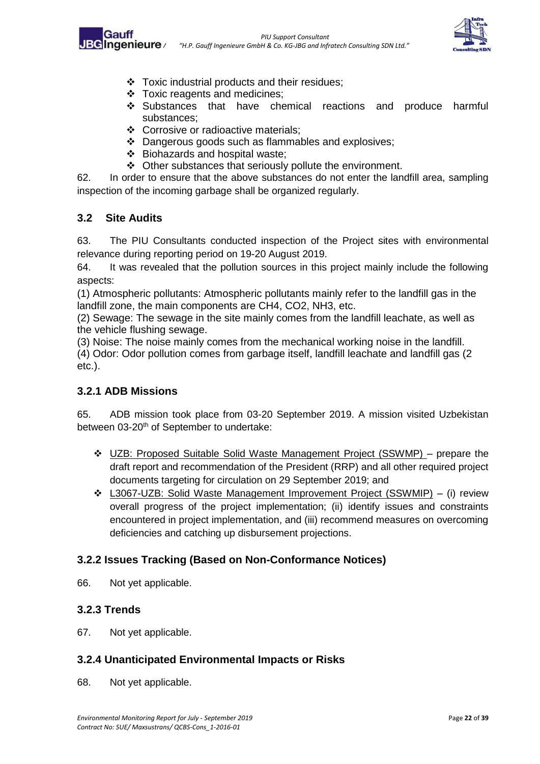



- ❖ Toxic industrial products and their residues;
- ❖ Toxic reagents and medicines;
- ❖ Substances that have chemical reactions and produce harmful substances;
- ❖ Corrosive or radioactive materials;
- ❖ Dangerous goods such as flammables and explosives;
- ❖ Biohazards and hospital waste;
- ❖ Other substances that seriously pollute the environment.

62. In order to ensure that the above substances do not enter the landfill area, sampling inspection of the incoming garbage shall be organized regularly.

## <span id="page-21-0"></span>**3.2 Site Audits**

63. The PIU Consultants conducted inspection of the Project sites with environmental relevance during reporting period on 19-20 August 2019.

64. It was revealed that the pollution sources in this project mainly include the following aspects:

(1) Atmospheric pollutants: Atmospheric pollutants mainly refer to the landfill gas in the landfill zone, the main components are CH4, CO2, NH3, etc.

(2) Sewage: The sewage in the site mainly comes from the landfill leachate, as well as the vehicle flushing sewage.

(3) Noise: The noise mainly comes from the mechanical working noise in the landfill.

(4) Odor: Odor pollution comes from garbage itself, landfill leachate and landfill gas (2 etc.).

## <span id="page-21-1"></span>**3.2.1 ADB Missions**

65. ADB mission took place from 03-20 September 2019. A mission visited Uzbekistan between 03-20<sup>th</sup> of September to undertake:

- ❖ UZB: Proposed Suitable Solid Waste Management Project (SSWMP) prepare the draft report and recommendation of the President (RRP) and all other required project documents targeting for circulation on 29 September 2019; and
- ❖ L3067-UZB: Solid Waste Management Improvement Project (SSWMIP) (i) review overall progress of the project implementation; (ii) identify issues and constraints encountered in project implementation, and (iii) recommend measures on overcoming deficiencies and catching up disbursement projections.

## <span id="page-21-2"></span>**3.2.2 Issues Tracking (Based on Non-Conformance Notices)**

66. Not yet applicable.

## <span id="page-21-3"></span>**3.2.3 Trends**

67. Not yet applicable.

## <span id="page-21-4"></span>**3.2.4 Unanticipated Environmental Impacts or Risks**

68. Not yet applicable.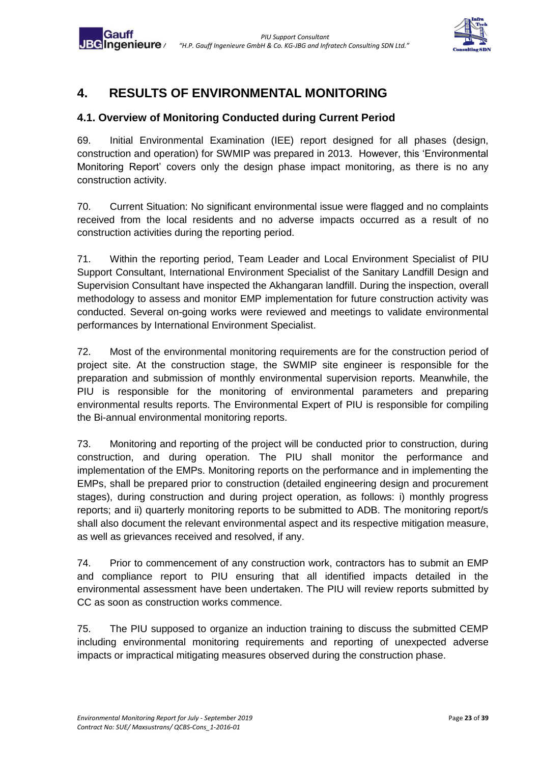

# <span id="page-22-0"></span>**4. RESULTS OF ENVIRONMENTAL MONITORING**

Gauff

# <span id="page-22-1"></span>**4.1. Overview of Monitoring Conducted during Current Period**

69. Initial Environmental Examination (IEE) report designed for all phases (design, construction and operation) for SWMIP was prepared in 2013. However, this 'Environmental Monitoring Report' covers only the design phase impact monitoring, as there is no any construction activity.

70. Current Situation: No significant environmental issue were flagged and no complaints received from the local residents and no adverse impacts occurred as a result of no construction activities during the reporting period.

71. Within the reporting period, Team Leader and Local Environment Specialist of PIU Support Consultant, International Environment Specialist of the Sanitary Landfill Design and Supervision Consultant have inspected the Akhangaran landfill. During the inspection, overall methodology to assess and monitor EMP implementation for future construction activity was conducted. Several on-going works were reviewed and meetings to validate environmental performances by International Environment Specialist.

72. Most of the environmental monitoring requirements are for the construction period of project site. At the construction stage, the SWMIP site engineer is responsible for the preparation and submission of monthly environmental supervision reports. Meanwhile, the PIU is responsible for the monitoring of environmental parameters and preparing environmental results reports. The Environmental Expert of PIU is responsible for compiling the Bi-annual environmental monitoring reports.

73. Monitoring and reporting of the project will be conducted prior to construction, during construction, and during operation. The PIU shall monitor the performance and implementation of the EMPs. Monitoring reports on the performance and in implementing the EMPs, shall be prepared prior to construction (detailed engineering design and procurement stages), during construction and during project operation, as follows: i) monthly progress reports; and ii) quarterly monitoring reports to be submitted to ADB. The monitoring report/s shall also document the relevant environmental aspect and its respective mitigation measure, as well as grievances received and resolved, if any.

74. Prior to commencement of any construction work, contractors has to submit an EMP and compliance report to PIU ensuring that all identified impacts detailed in the environmental assessment have been undertaken. The PIU will review reports submitted by CC as soon as construction works commence.

75. The PIU supposed to organize an induction training to discuss the submitted CEMP including environmental monitoring requirements and reporting of unexpected adverse impacts or impractical mitigating measures observed during the construction phase.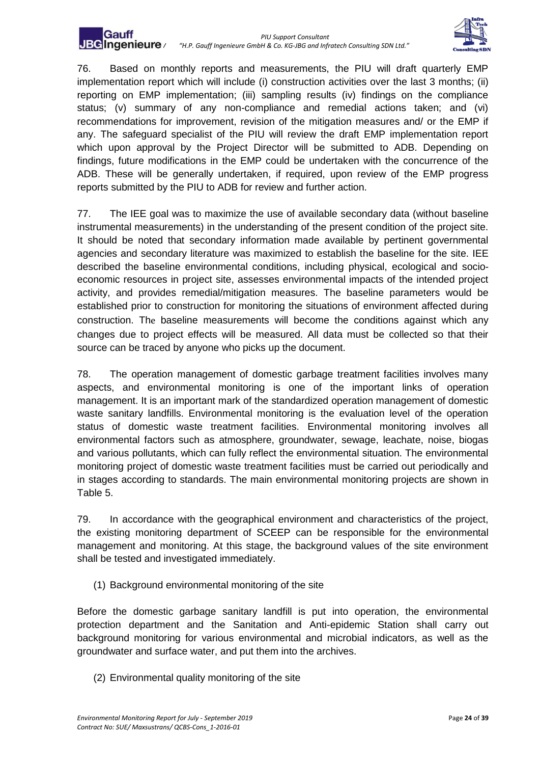

76. Based on monthly reports and measurements, the PIU will draft quarterly EMP implementation report which will include (i) construction activities over the last 3 months; (ii) reporting on EMP implementation; (iii) sampling results (iv) findings on the compliance status; (v) summary of any non-compliance and remedial actions taken; and (vi) recommendations for improvement, revision of the mitigation measures and/ or the EMP if any. The safeguard specialist of the PIU will review the draft EMP implementation report which upon approval by the Project Director will be submitted to ADB. Depending on findings, future modifications in the EMP could be undertaken with the concurrence of the ADB. These will be generally undertaken, if required, upon review of the EMP progress reports submitted by the PIU to ADB for review and further action.

77. The IEE goal was to maximize the use of available secondary data (without baseline instrumental measurements) in the understanding of the present condition of the project site. It should be noted that secondary information made available by pertinent governmental agencies and secondary literature was maximized to establish the baseline for the site. IEE described the baseline environmental conditions, including physical, ecological and socioeconomic resources in project site, assesses environmental impacts of the intended project activity, and provides remedial/mitigation measures. The baseline parameters would be established prior to construction for monitoring the situations of environment affected during construction. The baseline measurements will become the conditions against which any changes due to project effects will be measured. All data must be collected so that their source can be traced by anyone who picks up the document.

78. The operation management of domestic garbage treatment facilities involves many aspects, and environmental monitoring is one of the important links of operation management. It is an important mark of the standardized operation management of domestic waste sanitary landfills. Environmental monitoring is the evaluation level of the operation status of domestic waste treatment facilities. Environmental monitoring involves all environmental factors such as atmosphere, groundwater, sewage, leachate, noise, biogas and various pollutants, which can fully reflect the environmental situation. The environmental monitoring project of domestic waste treatment facilities must be carried out periodically and in stages according to standards. The main environmental monitoring projects are shown in Table 5.

79. In accordance with the geographical environment and characteristics of the project, the existing monitoring department of SCEEP can be responsible for the environmental management and monitoring. At this stage, the background values of the site environment shall be tested and investigated immediately.

(1) Background environmental monitoring of the site

Before the domestic garbage sanitary landfill is put into operation, the environmental protection department and the Sanitation and Anti-epidemic Station shall carry out background monitoring for various environmental and microbial indicators, as well as the groundwater and surface water, and put them into the archives.

(2) Environmental quality monitoring of the site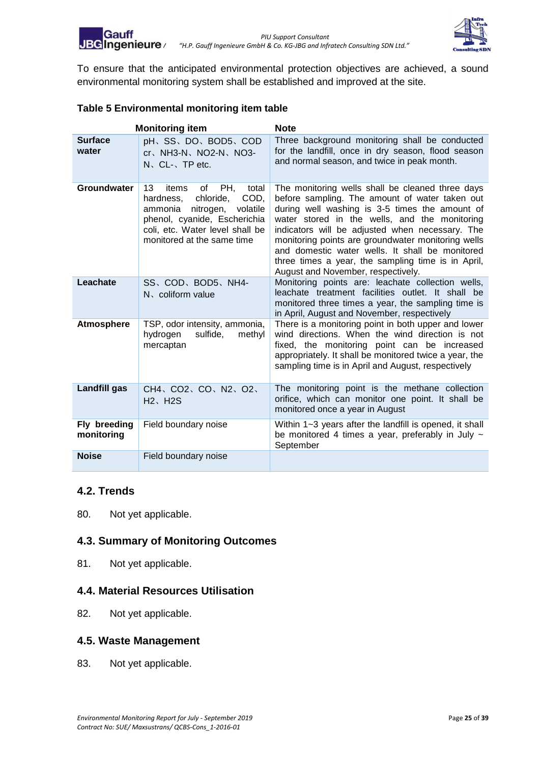

<span id="page-24-4"></span>To ensure that the anticipated environmental protection objectives are achieved, a sound environmental monitoring system shall be established and improved at the site.

#### <span id="page-24-5"></span>**Table 5 Environmental monitoring item table**

|                            | <b>Monitoring item</b>                                                                                                                                                                                   | <b>Note</b>                                                                                                                                                                                                                                                                                                                                                                                                                                                   |
|----------------------------|----------------------------------------------------------------------------------------------------------------------------------------------------------------------------------------------------------|---------------------------------------------------------------------------------------------------------------------------------------------------------------------------------------------------------------------------------------------------------------------------------------------------------------------------------------------------------------------------------------------------------------------------------------------------------------|
| <b>Surface</b><br>water    | pH、SS、DO、BOD5、COD<br>$cr$ , NH3-N, NO2-N, NO3-<br>$N_{\rm S}$ , CL- $_{\rm S}$ , TP etc.                                                                                                                 | Three background monitoring shall be conducted<br>for the landfill, once in dry season, flood season<br>and normal season, and twice in peak month.                                                                                                                                                                                                                                                                                                           |
| Groundwater                | 13<br>PH.<br>items<br>οf<br>total<br>chloride,<br>COD,<br>hardness,<br>nitrogen,<br>volatile<br>ammonia<br>phenol, cyanide, Escherichia<br>coli, etc. Water level shall be<br>monitored at the same time | The monitoring wells shall be cleaned three days<br>before sampling. The amount of water taken out<br>during well washing is 3-5 times the amount of<br>water stored in the wells, and the monitoring<br>indicators will be adjusted when necessary. The<br>monitoring points are groundwater monitoring wells<br>and domestic water wells. It shall be monitored<br>three times a year, the sampling time is in April,<br>August and November, respectively. |
| Leachate                   | SS、COD、BOD5、NH4-<br>N. coliform value                                                                                                                                                                    | Monitoring points are: leachate collection wells,<br>leachate treatment facilities outlet. It shall be<br>monitored three times a year, the sampling time is<br>in April, August and November, respectively                                                                                                                                                                                                                                                   |
| <b>Atmosphere</b>          | TSP, odor intensity, ammonia,<br>sulfide,<br>hydrogen<br>methyl<br>mercaptan                                                                                                                             | There is a monitoring point in both upper and lower<br>wind directions. When the wind direction is not<br>fixed, the monitoring point can be increased<br>appropriately. It shall be monitored twice a year, the<br>sampling time is in April and August, respectively                                                                                                                                                                                        |
| <b>Landfill gas</b>        | CH4、CO2、CO、N2、O2、<br>$H2$ , $H2S$                                                                                                                                                                        | The monitoring point is the methane collection<br>orifice, which can monitor one point. It shall be<br>monitored once a year in August                                                                                                                                                                                                                                                                                                                        |
| Fly breeding<br>monitoring | Field boundary noise                                                                                                                                                                                     | Within 1~3 years after the landfill is opened, it shall<br>be monitored 4 times a year, preferably in July $\sim$<br>September                                                                                                                                                                                                                                                                                                                                |
| <b>Noise</b>               | Field boundary noise                                                                                                                                                                                     |                                                                                                                                                                                                                                                                                                                                                                                                                                                               |

#### <span id="page-24-0"></span>**4.2. Trends**

80. Not yet applicable.

## <span id="page-24-1"></span>**4.3. Summary of Monitoring Outcomes**

81. Not yet applicable.

#### <span id="page-24-2"></span>**4.4. Material Resources Utilisation**

82. Not yet applicable.

#### <span id="page-24-3"></span>**4.5. Waste Management**

83. Not yet applicable.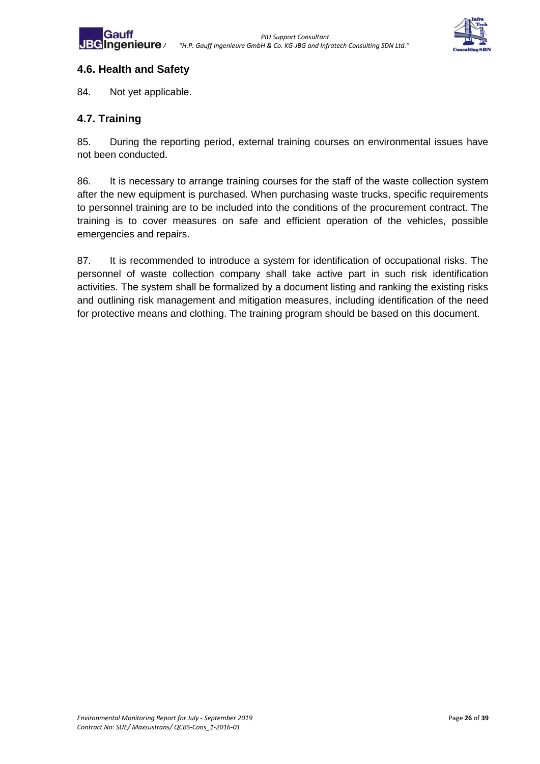



#### **4.6. Health and Safety**

84. Not yet applicable.

## <span id="page-25-0"></span>**4.7. Training**

85. During the reporting period, external training courses on environmental issues have not been conducted.

86. It is necessary to arrange training courses for the staff of the waste collection system after the new equipment is purchased. When purchasing waste trucks, specific requirements to personnel training are to be included into the conditions of the procurement contract. The training is to cover measures on safe and efficient operation of the vehicles, possible emergencies and repairs.

87. It is recommended to introduce a system for identification of occupational risks. The personnel of waste collection company shall take active part in such risk identification activities. The system shall be formalized by a document listing and ranking the existing risks and outlining risk management and mitigation measures, including identification of the need for protective means and clothing. The training program should be based on this document.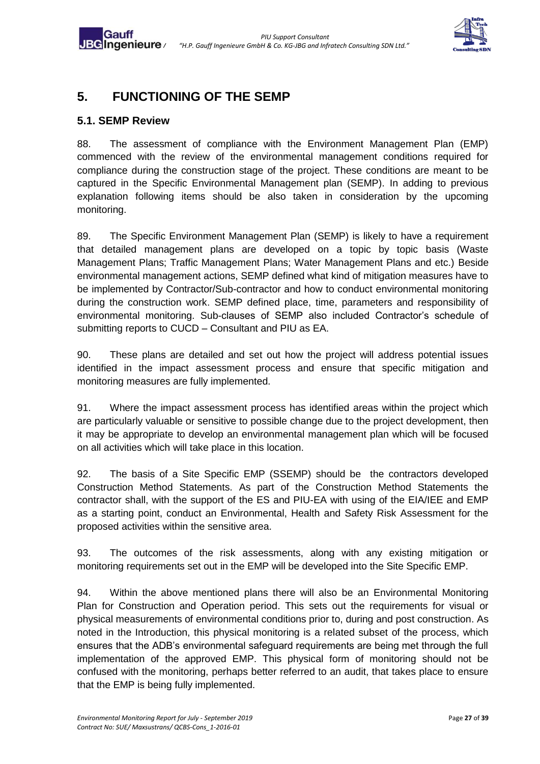

# <span id="page-26-0"></span>**5. FUNCTIONING OF THE SEMP**

#### <span id="page-26-1"></span>**5.1. SEMP Review**

Gauff

88. The assessment of compliance with the Environment Management Plan (EMP) commenced with the review of the environmental management conditions required for compliance during the construction stage of the project. These conditions are meant to be captured in the Specific Environmental Management plan (SEMP). In adding to previous explanation following items should be also taken in consideration by the upcoming monitoring.

89. The Specific Environment Management Plan (SEMP) is likely to have a requirement that detailed management plans are developed on a topic by topic basis (Waste Management Plans; Traffic Management Plans; Water Management Plans and etc.) Beside environmental management actions, SEMP defined what kind of mitigation measures have to be implemented by Contractor/Sub-contractor and how to conduct environmental monitoring during the construction work. SEMP defined place, time, parameters and responsibility of environmental monitoring. Sub-clauses of SEMP also included Contractor's schedule of submitting reports to CUCD – Consultant and PIU as EA.

90. These plans are detailed and set out how the project will address potential issues identified in the impact assessment process and ensure that specific mitigation and monitoring measures are fully implemented.

91. Where the impact assessment process has identified areas within the project which are particularly valuable or sensitive to possible change due to the project development, then it may be appropriate to develop an environmental management plan which will be focused on all activities which will take place in this location.

92. The basis of a Site Specific EMP (SSEMP) should be the contractors developed Construction Method Statements. As part of the Construction Method Statements the contractor shall, with the support of the ES and PIU-EA with using of the EIA/IEE and EMP as a starting point, conduct an Environmental, Health and Safety Risk Assessment for the proposed activities within the sensitive area.

93. The outcomes of the risk assessments, along with any existing mitigation or monitoring requirements set out in the EMP will be developed into the Site Specific EMP.

94. Within the above mentioned plans there will also be an Environmental Monitoring Plan for Construction and Operation period. This sets out the requirements for visual or physical measurements of environmental conditions prior to, during and post construction. As noted in the Introduction, this physical monitoring is a related subset of the process, which ensures that the ADB's environmental safeguard requirements are being met through the full implementation of the approved EMP. This physical form of monitoring should not be confused with the monitoring, perhaps better referred to an audit, that takes place to ensure that the EMP is being fully implemented.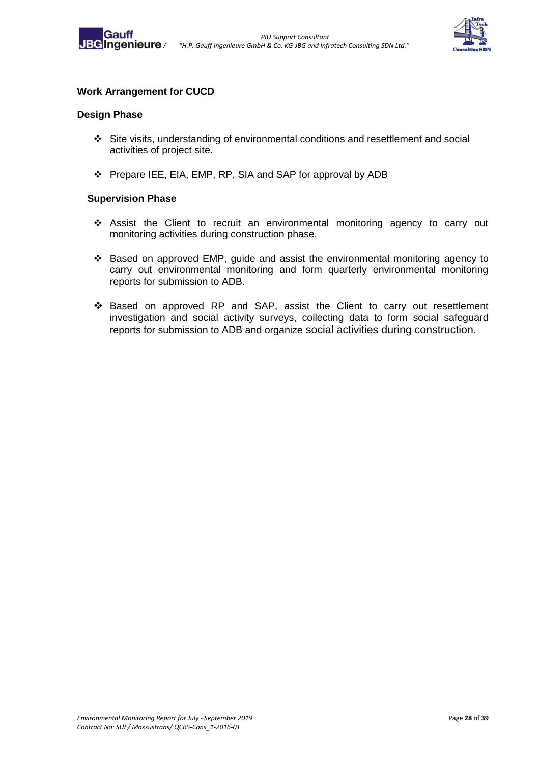



#### **Work Arrangement for CUCD**

#### **Design Phase**

- ❖ Site visits, understanding of environmental conditions and resettlement and social activities of project site.
- ❖ Prepare IEE, EIA, EMP, RP, SIA and SAP for approval by ADB

#### **Supervision Phase**

- ❖ Assist the Client to recruit an environmental monitoring agency to carry out monitoring activities during construction phase.
- ❖ Based on approved EMP, guide and assist the environmental monitoring agency to carry out environmental monitoring and form quarterly environmental monitoring reports for submission to ADB.
- ❖ Based on approved RP and SAP, assist the Client to carry out resettlement investigation and social activity surveys, collecting data to form social safeguard reports for submission to ADB and organize social activities during construction.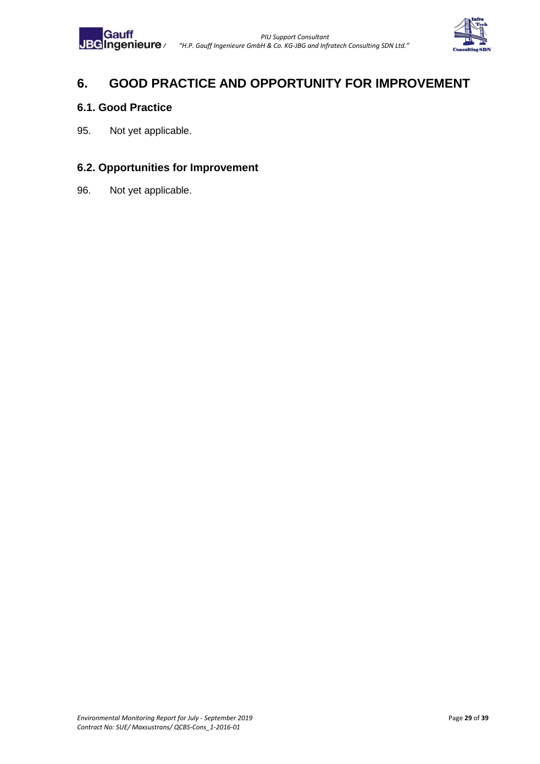

# <span id="page-28-0"></span>**6. GOOD PRACTICE AND OPPORTUNITY FOR IMPROVEMENT**

#### <span id="page-28-1"></span>**6.1. Good Practice**

95. Not yet applicable.

# <span id="page-28-2"></span>**6.2. Opportunities for Improvement**

96. Not yet applicable.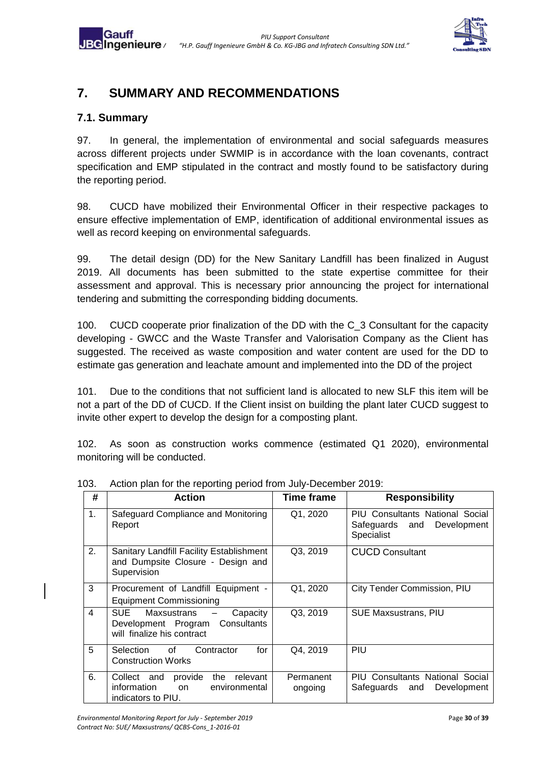

# <span id="page-29-0"></span>**7. SUMMARY AND RECOMMENDATIONS**

# <span id="page-29-1"></span>**7.1. Summary**

97. In general, the implementation of environmental and social safeguards measures across different projects under SWMIP is in accordance with the loan covenants, contract specification and EMP stipulated in the contract and mostly found to be satisfactory during the reporting period.

98. CUCD have mobilized their Environmental Officer in their respective packages to ensure effective implementation of EMP, identification of additional environmental issues as well as record keeping on environmental safeguards.

99. The detail design (DD) for the New Sanitary Landfill has been finalized in August 2019. All documents has been submitted to the state expertise committee for their assessment and approval. This is necessary prior announcing the project for international tendering and submitting the corresponding bidding documents.

100. CUCD cooperate prior finalization of the DD with the C\_3 Consultant for the capacity developing - GWCC and the Waste Transfer and Valorisation Company as the Client has suggested. The received as waste composition and water content are used for the DD to estimate gas generation and leachate amount and implemented into the DD of the project

101. Due to the conditions that not sufficient land is allocated to new SLF this item will be not a part of the DD of CUCD. If the Client insist on building the plant later CUCD suggest to invite other expert to develop the design for a composting plant.

102. As soon as construction works commence (estimated Q1 2020), environmental monitoring will be conducted.

| #  | <b>Action</b>                                                                                                                      | <b>Time frame</b>    | <b>Responsibility</b>                                                              |
|----|------------------------------------------------------------------------------------------------------------------------------------|----------------------|------------------------------------------------------------------------------------|
| 1. | Safeguard Compliance and Monitoring<br>Report                                                                                      | Q1, 2020             | <b>PIU Consultants National Social</b><br>Safeguards and Development<br>Specialist |
| 2. | Sanitary Landfill Facility Establishment<br>and Dumpsite Closure - Design and<br>Supervision                                       | Q3, 2019             | <b>CUCD Consultant</b>                                                             |
| 3  | Procurement of Landfill Equipment -<br><b>Equipment Commissioning</b>                                                              | Q1, 2020             | City Tender Commission, PIU                                                        |
| 4  | <b>SUE</b><br>Maxsustrans<br>Capacity<br>$\overline{\phantom{m}}$<br>Development Program Consultants<br>will finalize his contract | Q3, 2019             | <b>SUE Maxsustrans, PIU</b>                                                        |
| 5  | Selection<br>for<br>of<br>Contractor<br><b>Construction Works</b>                                                                  | Q4, 2019             | PIU                                                                                |
| 6. | relevant<br>Collect and<br>provide<br>the<br>information<br>environmental<br>on<br>indicators to PIU.                              | Permanent<br>ongoing | <b>PIU Consultants National Social</b><br>Development<br>Safeguards and            |

103. Action plan for the reporting period from July-December 2019: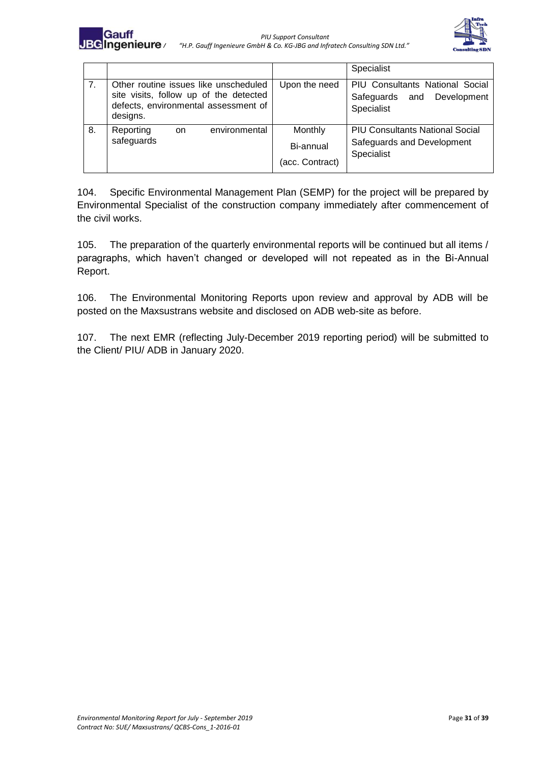



|                |                                                                                                                                     |                                         | Specialist                                                                         |  |
|----------------|-------------------------------------------------------------------------------------------------------------------------------------|-----------------------------------------|------------------------------------------------------------------------------------|--|
| 7 <sub>1</sub> | Other routine issues like unscheduled<br>site visits, follow up of the detected<br>defects, environmental assessment of<br>designs. | Upon the need                           | PIU Consultants National Social<br>Safeguards and Development<br>Specialist        |  |
| 8.             | environmental<br>Reporting<br>on.<br>safeguards                                                                                     | Monthly<br>Bi-annual<br>(acc. Contract) | <b>PIU Consultants National Social</b><br>Safeguards and Development<br>Specialist |  |

104. Specific Environmental Management Plan (SEMP) for the project will be prepared by Environmental Specialist of the construction company immediately after commencement of the civil works.

105. The preparation of the quarterly environmental reports will be continued but all items / paragraphs, which haven't changed or developed will not repeated as in the Bi-Annual Report.

106. The Environmental Monitoring Reports upon review and approval by ADB will be posted on the Maxsustrans website and disclosed on ADB web-site as before.

107. The next EMR (reflecting July-December 2019 reporting period) will be submitted to the Client/ PIU/ ADB in January 2020.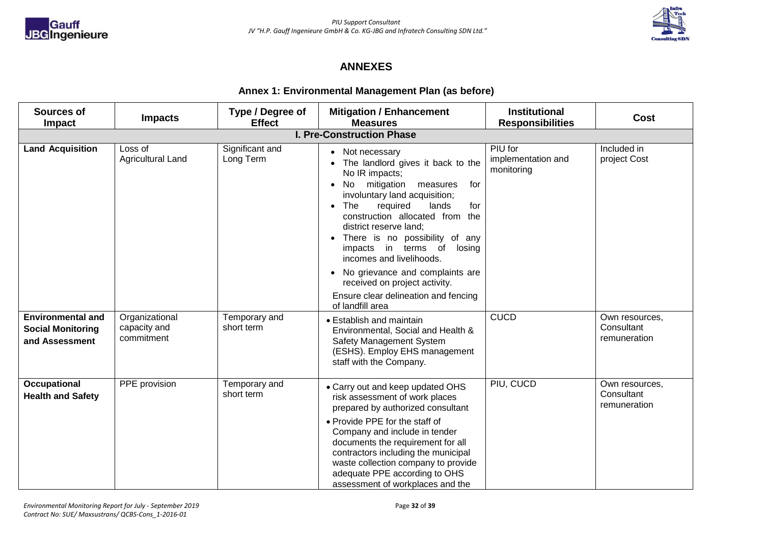



#### **ANNEXES**

#### **Annex 1: Environmental Management Plan (as before)**

| Sources of<br>Impact                                                   | <b>Impacts</b>                               | Type / Degree of<br><b>Effect</b> | <b>Mitigation / Enhancement</b><br><b>Measures</b>                                                                                                                                                                                                                                                                                                                                                                                                                                 | <b>Institutional</b><br><b>Responsibilities</b> | <b>Cost</b>                                  |  |  |
|------------------------------------------------------------------------|----------------------------------------------|-----------------------------------|------------------------------------------------------------------------------------------------------------------------------------------------------------------------------------------------------------------------------------------------------------------------------------------------------------------------------------------------------------------------------------------------------------------------------------------------------------------------------------|-------------------------------------------------|----------------------------------------------|--|--|
| <b>I. Pre-Construction Phase</b>                                       |                                              |                                   |                                                                                                                                                                                                                                                                                                                                                                                                                                                                                    |                                                 |                                              |  |  |
| <b>Land Acquisition</b>                                                | Loss of<br><b>Agricultural Land</b>          | Significant and<br>Long Term      | • Not necessary<br>The landlord gives it back to the<br>No IR impacts;<br>mitigation<br>No<br>measures<br>for<br>involuntary land acquisition;<br>The<br>required<br>lands<br>for<br>construction allocated from<br>the<br>district reserve land;<br>• There is no possibility of any<br>impacts in terms of<br>losing<br>incomes and livelihoods.<br>No grievance and complaints are<br>received on project activity.<br>Ensure clear delineation and fencing<br>of landfill area | PIU for<br>implementation and<br>monitoring     | Included in<br>project Cost                  |  |  |
| <b>Environmental and</b><br><b>Social Monitoring</b><br>and Assessment | Organizational<br>capacity and<br>commitment | Temporary and<br>short term       | • Establish and maintain<br>Environmental, Social and Health &<br><b>Safety Management System</b><br>(ESHS). Employ EHS management<br>staff with the Company.                                                                                                                                                                                                                                                                                                                      | <b>CUCD</b>                                     | Own resources,<br>Consultant<br>remuneration |  |  |
| <b>Occupational</b><br><b>Health and Safety</b>                        | PPE provision                                | Temporary and<br>short term       | • Carry out and keep updated OHS<br>risk assessment of work places<br>prepared by authorized consultant<br>• Provide PPE for the staff of<br>Company and include in tender<br>documents the requirement for all<br>contractors including the municipal<br>waste collection company to provide<br>adequate PPE according to OHS<br>assessment of workplaces and the                                                                                                                 | PIU, CUCD                                       | Own resources,<br>Consultant<br>remuneration |  |  |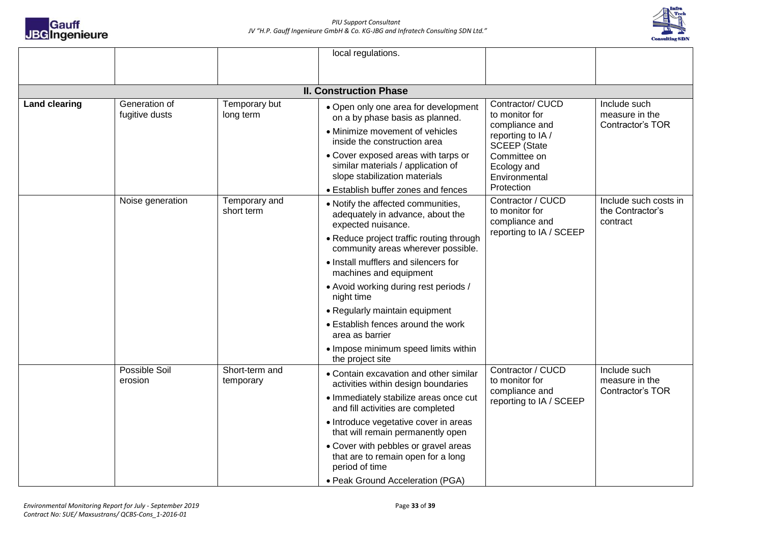



|                      |                                 |                             | local regulations.                                                                                         |                                                                                  |                                                       |
|----------------------|---------------------------------|-----------------------------|------------------------------------------------------------------------------------------------------------|----------------------------------------------------------------------------------|-------------------------------------------------------|
|                      |                                 |                             |                                                                                                            |                                                                                  |                                                       |
|                      |                                 |                             |                                                                                                            |                                                                                  |                                                       |
|                      |                                 |                             | <b>II. Construction Phase</b>                                                                              |                                                                                  |                                                       |
| <b>Land clearing</b> | Generation of<br>fugitive dusts | Temporary but<br>long term  | • Open only one area for development<br>on a by phase basis as planned.                                    | Contractor/ CUCD<br>to monitor for<br>compliance and                             | Include such<br>measure in the<br>Contractor's TOR    |
|                      |                                 |                             | • Minimize movement of vehicles<br>inside the construction area                                            | reporting to IA /<br><b>SCEEP</b> (State                                         |                                                       |
|                      |                                 |                             | • Cover exposed areas with tarps or<br>similar materials / application of<br>slope stabilization materials | Committee on<br>Ecology and<br>Environmental                                     |                                                       |
|                      |                                 |                             | • Establish buffer zones and fences                                                                        | Protection                                                                       |                                                       |
|                      | Noise generation                | Temporary and<br>short term | • Notify the affected communities,<br>adequately in advance, about the<br>expected nuisance.               | Contractor / CUCD<br>to monitor for<br>compliance and<br>reporting to IA / SCEEP | Include such costs in<br>the Contractor's<br>contract |
|                      |                                 |                             | • Reduce project traffic routing through<br>community areas wherever possible.                             |                                                                                  |                                                       |
|                      |                                 |                             | • Install mufflers and silencers for<br>machines and equipment                                             |                                                                                  |                                                       |
|                      |                                 |                             | • Avoid working during rest periods /<br>night time                                                        |                                                                                  |                                                       |
|                      |                                 |                             | • Regularly maintain equipment                                                                             |                                                                                  |                                                       |
|                      |                                 |                             | • Establish fences around the work<br>area as barrier                                                      |                                                                                  |                                                       |
|                      |                                 |                             | • Impose minimum speed limits within<br>the project site                                                   |                                                                                  |                                                       |
|                      | Possible Soil<br>erosion        | Short-term and<br>temporary | • Contain excavation and other similar<br>activities within design boundaries                              | Contractor / CUCD<br>to monitor for<br>compliance and<br>reporting to IA / SCEEP | Include such<br>measure in the                        |
|                      |                                 |                             | • Immediately stabilize areas once cut<br>and fill activities are completed                                |                                                                                  | Contractor's TOR                                      |
|                      |                                 |                             | • Introduce vegetative cover in areas<br>that will remain permanently open                                 |                                                                                  |                                                       |
|                      |                                 |                             | • Cover with pebbles or gravel areas<br>that are to remain open for a long<br>period of time               |                                                                                  |                                                       |
|                      |                                 |                             | • Peak Ground Acceleration (PGA)                                                                           |                                                                                  |                                                       |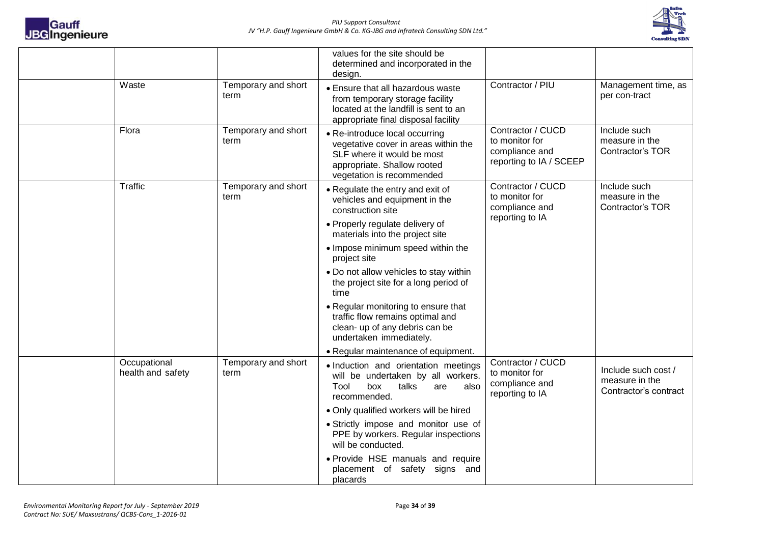



|                                   |                             | values for the site should be<br>determined and incorporated in the<br>design.                                                                                   |                                                                                  |                                                                |
|-----------------------------------|-----------------------------|------------------------------------------------------------------------------------------------------------------------------------------------------------------|----------------------------------------------------------------------------------|----------------------------------------------------------------|
| Waste                             | Temporary and short<br>term | • Ensure that all hazardous waste<br>from temporary storage facility<br>located at the landfill is sent to an<br>appropriate final disposal facility             | Contractor / PIU                                                                 | Management time, as<br>per con-tract                           |
| Flora                             | Temporary and short<br>term | • Re-introduce local occurring<br>vegetative cover in areas within the<br>SLF where it would be most<br>appropriate. Shallow rooted<br>vegetation is recommended | Contractor / CUCD<br>to monitor for<br>compliance and<br>reporting to IA / SCEEP | Include such<br>measure in the<br>Contractor's TOR             |
| Traffic                           | Temporary and short<br>term | • Regulate the entry and exit of<br>vehicles and equipment in the<br>construction site                                                                           | Contractor / CUCD<br>to monitor for<br>compliance and<br>reporting to IA         | Include such<br>measure in the<br>Contractor's TOR             |
|                                   |                             | • Properly regulate delivery of<br>materials into the project site                                                                                               |                                                                                  |                                                                |
|                                   |                             | • Impose minimum speed within the<br>project site                                                                                                                |                                                                                  |                                                                |
|                                   |                             | . Do not allow vehicles to stay within<br>the project site for a long period of<br>time                                                                          |                                                                                  |                                                                |
|                                   |                             | • Regular monitoring to ensure that<br>traffic flow remains optimal and<br>clean- up of any debris can be<br>undertaken immediately.                             |                                                                                  |                                                                |
|                                   |                             | • Regular maintenance of equipment.                                                                                                                              |                                                                                  |                                                                |
| Occupational<br>health and safety | Temporary and short<br>term | · Induction and orientation meetings<br>will be undertaken by all workers.<br>Tool<br>box<br>talks<br>are<br>also<br>recommended.                                | Contractor / CUCD<br>to monitor for<br>compliance and<br>reporting to IA         | Include such cost /<br>measure in the<br>Contractor's contract |
|                                   |                             | • Only qualified workers will be hired                                                                                                                           |                                                                                  |                                                                |
|                                   |                             | · Strictly impose and monitor use of<br>PPE by workers. Regular inspections<br>will be conducted.                                                                |                                                                                  |                                                                |
|                                   |                             | • Provide HSE manuals and require<br>placement of safety signs and<br>placards                                                                                   |                                                                                  |                                                                |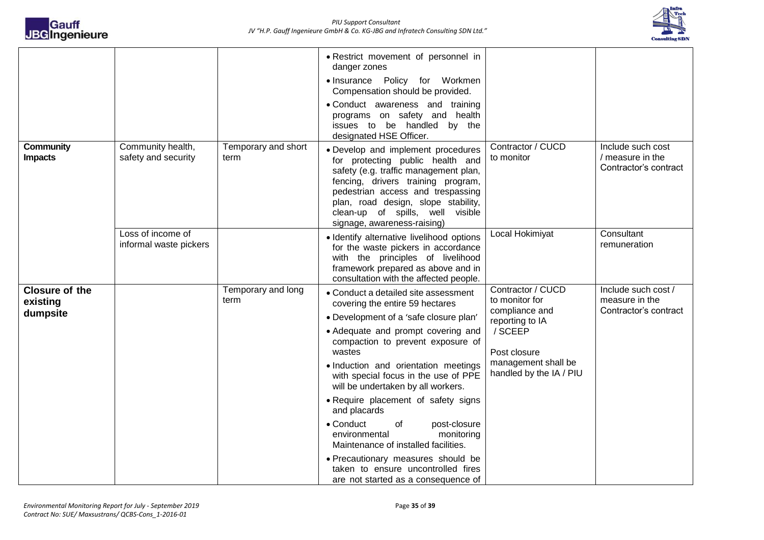

|                                               |                                             |                             | • Restrict movement of personnel in<br>danger zones<br>• Insurance Policy for Workmen<br>Compensation should be provided.<br>• Conduct awareness and training<br>programs on safety and health<br>issues to be handled by the<br>designated HSE Officer.                                                                                                                                                                                                                                                                                                                                                         |                                                                                                                                                       |                                                                |
|-----------------------------------------------|---------------------------------------------|-----------------------------|------------------------------------------------------------------------------------------------------------------------------------------------------------------------------------------------------------------------------------------------------------------------------------------------------------------------------------------------------------------------------------------------------------------------------------------------------------------------------------------------------------------------------------------------------------------------------------------------------------------|-------------------------------------------------------------------------------------------------------------------------------------------------------|----------------------------------------------------------------|
| Community<br><b>Impacts</b>                   | Community health,<br>safety and security    | Temporary and short<br>term | • Develop and implement procedures<br>for protecting public health and<br>safety (e.g. traffic management plan,<br>fencing, drivers training program,<br>pedestrian access and trespassing<br>plan, road design, slope stability,<br>clean-up of spills, well visible<br>signage, awareness-raising)                                                                                                                                                                                                                                                                                                             | Contractor / CUCD<br>to monitor                                                                                                                       | Include such cost<br>/ measure in the<br>Contractor's contract |
|                                               | Loss of income of<br>informal waste pickers |                             | · Identify alternative livelihood options<br>for the waste pickers in accordance<br>with the principles of livelihood<br>framework prepared as above and in<br>consultation with the affected people.                                                                                                                                                                                                                                                                                                                                                                                                            | Local Hokimiyat                                                                                                                                       | Consultant<br>remuneration                                     |
| <b>Closure of the</b><br>existing<br>dumpsite |                                             | Temporary and long<br>term  | • Conduct a detailed site assessment<br>covering the entire 59 hectares<br>• Development of a 'safe closure plan'<br>• Adequate and prompt covering and<br>compaction to prevent exposure of<br>wastes<br>· Induction and orientation meetings<br>with special focus in the use of PPE<br>will be undertaken by all workers.<br>• Require placement of safety signs<br>and placards<br>• Conduct<br>of<br>post-closure<br>monitoring<br>environmental<br>Maintenance of installed facilities.<br>• Precautionary measures should be<br>taken to ensure uncontrolled fires<br>are not started as a consequence of | Contractor / CUCD<br>to monitor for<br>compliance and<br>reporting to IA<br>/ SCEEP<br>Post closure<br>management shall be<br>handled by the IA / PIU | Include such cost /<br>measure in the<br>Contractor's contract |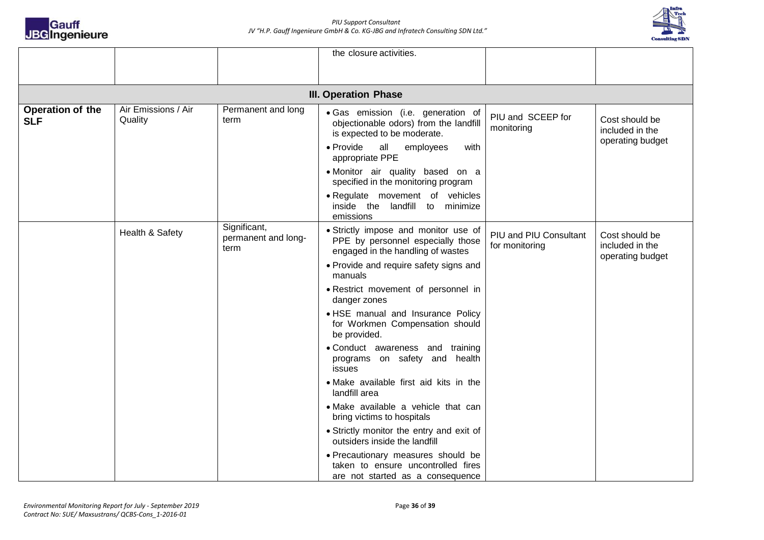



|                                |                                |                                             | the closure activities.                                                                                                                                                                                                                            |                                          |                                                       |  |  |
|--------------------------------|--------------------------------|---------------------------------------------|----------------------------------------------------------------------------------------------------------------------------------------------------------------------------------------------------------------------------------------------------|------------------------------------------|-------------------------------------------------------|--|--|
|                                |                                |                                             |                                                                                                                                                                                                                                                    |                                          |                                                       |  |  |
| <b>III. Operation Phase</b>    |                                |                                             |                                                                                                                                                                                                                                                    |                                          |                                                       |  |  |
| Operation of the<br><b>SLF</b> | Air Emissions / Air<br>Quality | Permanent and long<br>term                  | · Gas emission (i.e. generation of<br>objectionable odors) from the landfill<br>is expected to be moderate.<br>• Provide<br>all<br>employees<br>with<br>appropriate PPE<br>· Monitor air quality based on a<br>specified in the monitoring program | PIU and SCEEP for<br>monitoring          | Cost should be<br>included in the<br>operating budget |  |  |
|                                |                                |                                             | · Regulate movement of vehicles<br>inside the landfill to minimize<br>emissions                                                                                                                                                                    |                                          |                                                       |  |  |
|                                | Health & Safety                | Significant,<br>permanent and long-<br>term | • Strictly impose and monitor use of<br>PPE by personnel especially those<br>engaged in the handling of wastes                                                                                                                                     | PIU and PIU Consultant<br>for monitoring | Cost should be<br>included in the<br>operating budget |  |  |
|                                |                                |                                             | • Provide and require safety signs and<br>manuals                                                                                                                                                                                                  |                                          |                                                       |  |  |
|                                |                                |                                             | • Restrict movement of personnel in<br>danger zones                                                                                                                                                                                                |                                          |                                                       |  |  |
|                                |                                |                                             | • HSE manual and Insurance Policy<br>for Workmen Compensation should<br>be provided.                                                                                                                                                               |                                          |                                                       |  |  |
|                                |                                |                                             | • Conduct awareness and training<br>programs on safety and health<br>issues                                                                                                                                                                        |                                          |                                                       |  |  |
|                                |                                |                                             | • Make available first aid kits in the<br>landfill area                                                                                                                                                                                            |                                          |                                                       |  |  |
|                                |                                |                                             | · Make available a vehicle that can<br>bring victims to hospitals                                                                                                                                                                                  |                                          |                                                       |  |  |
|                                |                                |                                             | • Strictly monitor the entry and exit of<br>outsiders inside the landfill                                                                                                                                                                          |                                          |                                                       |  |  |
|                                |                                |                                             | • Precautionary measures should be<br>taken to ensure uncontrolled fires<br>are not started as a consequence                                                                                                                                       |                                          |                                                       |  |  |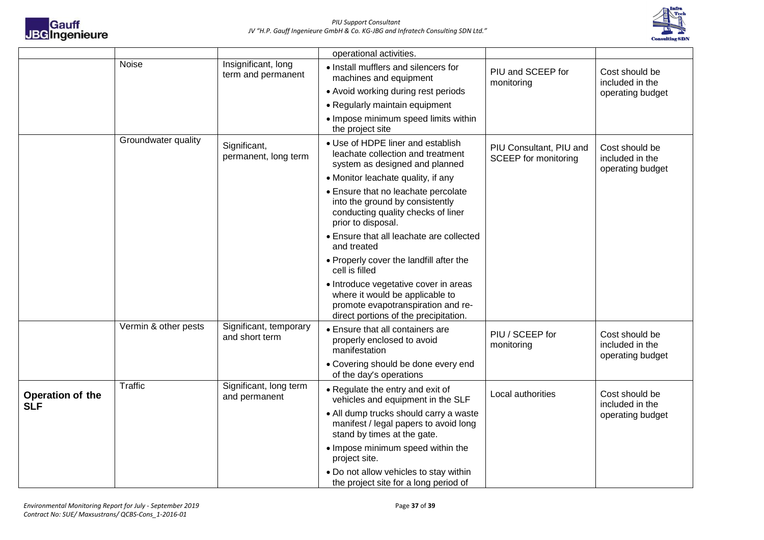



|                                |                      |                                                                                                                | operational activities.                                                                                                                                 |                                                        |                                                       |
|--------------------------------|----------------------|----------------------------------------------------------------------------------------------------------------|---------------------------------------------------------------------------------------------------------------------------------------------------------|--------------------------------------------------------|-------------------------------------------------------|
|                                | <b>Noise</b>         | Insignificant, long<br>term and permanent                                                                      | • Install mufflers and silencers for<br>machines and equipment                                                                                          | PIU and SCEEP for<br>monitoring                        | Cost should be<br>included in the                     |
|                                |                      |                                                                                                                | • Avoid working during rest periods                                                                                                                     |                                                        | operating budget                                      |
|                                |                      |                                                                                                                | • Regularly maintain equipment                                                                                                                          |                                                        |                                                       |
|                                |                      |                                                                                                                | • Impose minimum speed limits within<br>the project site                                                                                                |                                                        |                                                       |
|                                | Groundwater quality  | Significant,<br>permanent, long term                                                                           | • Use of HDPE liner and establish<br>leachate collection and treatment<br>system as designed and planned                                                | PIU Consultant, PIU and<br><b>SCEEP</b> for monitoring | Cost should be<br>included in the<br>operating budget |
|                                |                      |                                                                                                                | • Monitor leachate quality, if any                                                                                                                      |                                                        |                                                       |
|                                |                      |                                                                                                                | • Ensure that no leachate percolate<br>into the ground by consistently<br>conducting quality checks of liner<br>prior to disposal.                      |                                                        |                                                       |
|                                |                      |                                                                                                                | • Ensure that all leachate are collected<br>and treated                                                                                                 |                                                        |                                                       |
|                                |                      |                                                                                                                | • Properly cover the landfill after the<br>cell is filled                                                                                               |                                                        |                                                       |
|                                |                      |                                                                                                                | • Introduce vegetative cover in areas<br>where it would be applicable to<br>promote evapotranspiration and re-<br>direct portions of the precipitation. |                                                        |                                                       |
|                                | Vermin & other pests | Significant, temporary<br>and short term                                                                       | • Ensure that all containers are<br>properly enclosed to avoid<br>manifestation                                                                         | PIU / SCEEP for<br>monitoring                          | Cost should be<br>included in the<br>operating budget |
|                                |                      |                                                                                                                | • Covering should be done every end<br>of the day's operations                                                                                          |                                                        |                                                       |
| Operation of the<br><b>SLF</b> | Traffic              | Significant, long term<br>and permanent                                                                        | • Regulate the entry and exit of<br>vehicles and equipment in the SLF                                                                                   | Local authorities                                      | Cost should be<br>included in the                     |
|                                |                      | • All dump trucks should carry a waste<br>manifest / legal papers to avoid long<br>stand by times at the gate. |                                                                                                                                                         | operating budget                                       |                                                       |
|                                |                      |                                                                                                                | • Impose minimum speed within the<br>project site.                                                                                                      |                                                        |                                                       |
|                                |                      |                                                                                                                | • Do not allow vehicles to stay within<br>the project site for a long period of                                                                         |                                                        |                                                       |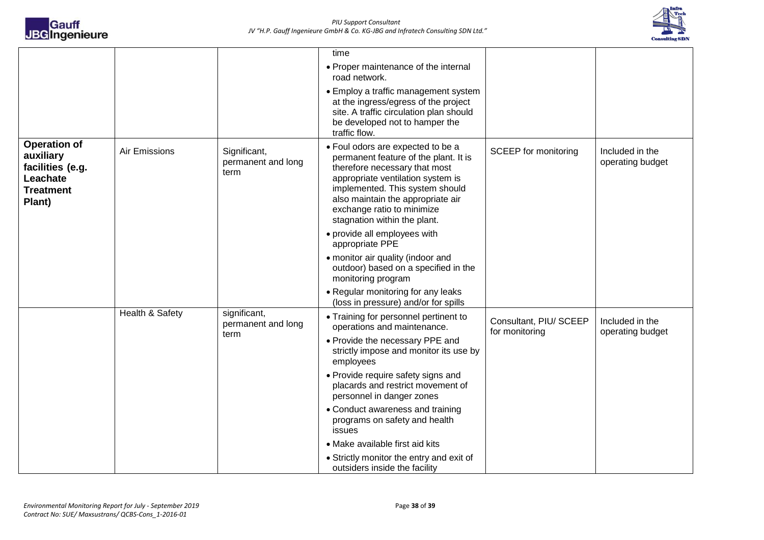

|                                                                                                |                 |                                            | time                                                                                                                                                                                                                                                                                   |                                          |                                     |
|------------------------------------------------------------------------------------------------|-----------------|--------------------------------------------|----------------------------------------------------------------------------------------------------------------------------------------------------------------------------------------------------------------------------------------------------------------------------------------|------------------------------------------|-------------------------------------|
|                                                                                                |                 |                                            | • Proper maintenance of the internal<br>road network.                                                                                                                                                                                                                                  |                                          |                                     |
|                                                                                                |                 |                                            | • Employ a traffic management system<br>at the ingress/egress of the project<br>site. A traffic circulation plan should<br>be developed not to hamper the<br>traffic flow.                                                                                                             |                                          |                                     |
| <b>Operation of</b><br>auxiliary<br>facilities (e.g.<br>Leachate<br><b>Treatment</b><br>Plant) | Air Emissions   | Significant,<br>permanent and long<br>term | • Foul odors are expected to be a<br>permanent feature of the plant. It is<br>therefore necessary that most<br>appropriate ventilation system is<br>implemented. This system should<br>also maintain the appropriate air<br>exchange ratio to minimize<br>stagnation within the plant. | <b>SCEEP</b> for monitoring              | Included in the<br>operating budget |
|                                                                                                |                 |                                            | · provide all employees with<br>appropriate PPE                                                                                                                                                                                                                                        |                                          |                                     |
|                                                                                                |                 |                                            | • monitor air quality (indoor and<br>outdoor) based on a specified in the<br>monitoring program                                                                                                                                                                                        |                                          |                                     |
|                                                                                                |                 |                                            | • Regular monitoring for any leaks<br>(loss in pressure) and/or for spills                                                                                                                                                                                                             |                                          |                                     |
|                                                                                                | Health & Safety | significant,<br>permanent and long<br>term | • Training for personnel pertinent to<br>operations and maintenance.                                                                                                                                                                                                                   | Consultant, PIU/ SCEEP<br>for monitoring | Included in the<br>operating budget |
|                                                                                                |                 |                                            | • Provide the necessary PPE and<br>strictly impose and monitor its use by<br>employees                                                                                                                                                                                                 |                                          |                                     |
|                                                                                                |                 |                                            | • Provide require safety signs and<br>placards and restrict movement of<br>personnel in danger zones                                                                                                                                                                                   |                                          |                                     |
|                                                                                                |                 |                                            | • Conduct awareness and training<br>programs on safety and health<br>issues                                                                                                                                                                                                            |                                          |                                     |
|                                                                                                |                 |                                            | • Make available first aid kits                                                                                                                                                                                                                                                        |                                          |                                     |
|                                                                                                |                 |                                            | • Strictly monitor the entry and exit of<br>outsiders inside the facility                                                                                                                                                                                                              |                                          |                                     |